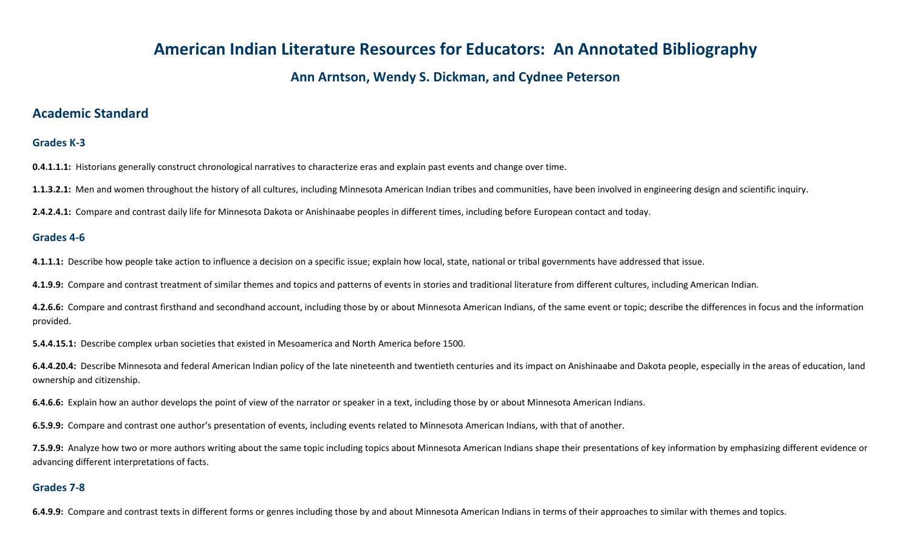# **American Indian Literature Resources for Educators: An Annotated Bibliography**

## **Ann Arntson, Wendy S. Dickman, and Cydnee Peterson**

### **Academic Standard**

#### **Grades K-3**

**0.4.1.1.1:** Historians generally construct chronological narratives to characterize eras and explain past events and change over time.

**1.1.3.2.1:** Men and women throughout the history of all cultures, including Minnesota American Indian tribes and communities, have been involved in engineering design and scientific inquiry.

**2.4.2.4.1:** Compare and contrast daily life for Minnesota Dakota or Anishinaabe peoples in different times, including before European contact and today.

#### **Grades 4-6**

**4.1.1.1:** Describe how people take action to influence a decision on a specific issue; explain how local, state, national or tribal governments have addressed that issue.

**4.1.9.9:** Compare and contrast treatment of similar themes and topics and patterns of events in stories and traditional literature from different cultures, including American Indian.

**4.2.6.6:** Compare and contrast firsthand and secondhand account, including those by or about Minnesota American Indians, of the same event or topic; describe the differences in focus and the information provided.

**5.4.4.15.1:** Describe complex urban societies that existed in Mesoamerica and North America before 1500.

**6.4.4.20.4:** Describe Minnesota and federal American Indian policy of the late nineteenth and twentieth centuries and its impact on Anishinaabe and Dakota people, especially in the areas of education, land ownership and citizenship.

**6.4.6.6:** Explain how an author develops the point of view of the narrator or speaker in a text, including those by or about Minnesota American Indians.

**6.5.9.9:** Compare and contrast one author's presentation of events, including events related to Minnesota American Indians, with that of another.

**7.5.9.9:** Analyze how two or more authors writing about the same topic including topics about Minnesota American Indians shape their presentations of key information by emphasizing different evidence or advancing different interpretations of facts.

#### **Grades 7-8**

**6.4.9.9:** Compare and contrast texts in different forms or genres including those by and about Minnesota American Indians in terms of their approaches to similar with themes and topics.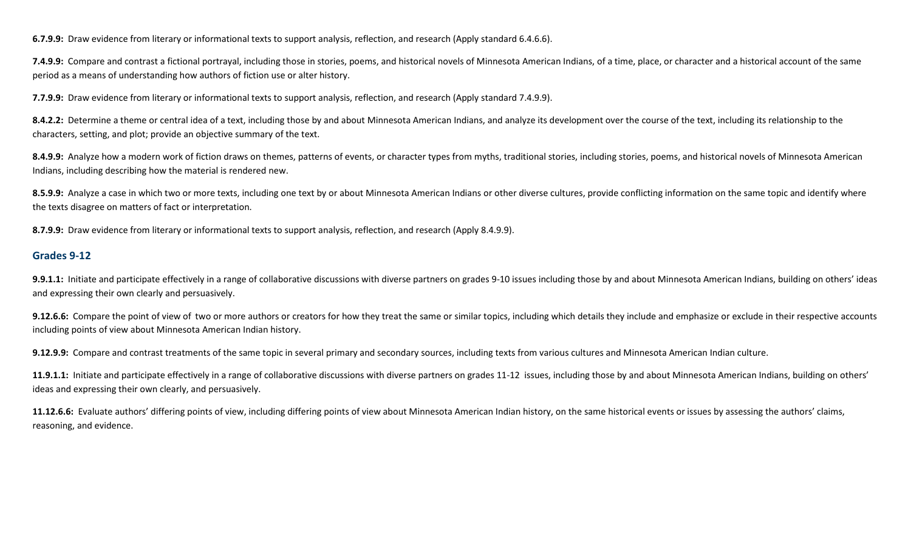**6.7.9.9:** Draw evidence from literary or informational texts to support analysis, reflection, and research (Apply standard 6.4.6.6).

**7.4.9.9:** Compare and contrast a fictional portrayal, including those in stories, poems, and historical novels of Minnesota American Indians, of a time, place, or character and a historical account of the same period as a means of understanding how authors of fiction use or alter history.

**7.7.9.9:** Draw evidence from literary or informational texts to support analysis, reflection, and research (Apply standard 7.4.9.9).

**8.4.2.2:** Determine a theme or central idea of a text, including those by and about Minnesota American Indians, and analyze its development over the course of the text, including its relationship to the characters, setting, and plot; provide an objective summary of the text.

**8.4.9.9:** Analyze how a modern work of fiction draws on themes, patterns of events, or character types from myths, traditional stories, including stories, poems, and historical novels of Minnesota American Indians, including describing how the material is rendered new.

**8.5.9.9:** Analyze a case in which two or more texts, including one text by or about Minnesota American Indians or other diverse cultures, provide conflicting information on the same topic and identify where the texts disagree on matters of fact or interpretation.

**8.7.9.9:** Draw evidence from literary or informational texts to support analysis, reflection, and research (Apply 8.4.9.9).

#### **Grades 9-12**

**9.9.1.1:** Initiate and participate effectively in a range of collaborative discussions with diverse partners on grades 9-10 issues including those by and about Minnesota American Indians, building on others' ideas and expressing their own clearly and persuasively.

**9.12.6.6:** Compare the point of view of two or more authors or creators for how they treat the same or similar topics, including which details they include and emphasize or exclude in their respective accounts including points of view about Minnesota American Indian history.

**9.12.9.9:** Compare and contrast treatments of the same topic in several primary and secondary sources, including texts from various cultures and Minnesota American Indian culture.

11.9.1.1: Initiate and participate effectively in a range of collaborative discussions with diverse partners on grades 11-12 issues, including those by and about Minnesota American Indians, building on others' ideas and expressing their own clearly, and persuasively.

**11.12.6.6:** Evaluate authors' differing points of view, including differing points of view about Minnesota American Indian history, on the same historical events or issues by assessing the authors' claims, reasoning, and evidence.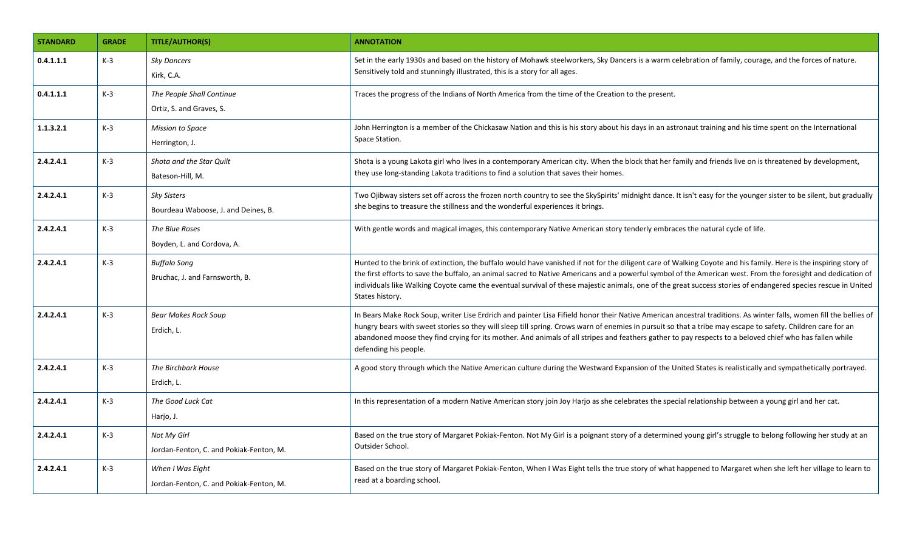| <b>STANDARD</b> | <b>GRADE</b> | <b>TITLE/AUTHOR(S)</b>                                      | <b>ANNOTATION</b>                                                                                                                                                                                                                                                                                                                                                                                                                                                                                                     |
|-----------------|--------------|-------------------------------------------------------------|-----------------------------------------------------------------------------------------------------------------------------------------------------------------------------------------------------------------------------------------------------------------------------------------------------------------------------------------------------------------------------------------------------------------------------------------------------------------------------------------------------------------------|
| 0.4.1.1.1       | $K-3$        | <b>Sky Dancers</b><br>Kirk, C.A.                            | Set in the early 1930s and based on the history of Mohawk steelworkers, Sky Dancers is a warm celebration of family, courage, and the forces of nature.<br>Sensitively told and stunningly illustrated, this is a story for all ages.                                                                                                                                                                                                                                                                                 |
| 0.4.1.1.1       | $K-3$        | The People Shall Continue<br>Ortiz, S. and Graves, S.       | Traces the progress of the Indians of North America from the time of the Creation to the present.                                                                                                                                                                                                                                                                                                                                                                                                                     |
| 1.1.3.2.1       | $K-3$        | <b>Mission to Space</b><br>Herrington, J.                   | John Herrington is a member of the Chickasaw Nation and this is his story about his days in an astronaut training and his time spent on the International<br>Space Station.                                                                                                                                                                                                                                                                                                                                           |
| 2.4.2.4.1       | $K-3$        | Shota and the Star Quilt<br>Bateson-Hill, M.                | Shota is a young Lakota girl who lives in a contemporary American city. When the block that her family and friends live on is threatened by development,<br>they use long-standing Lakota traditions to find a solution that saves their homes.                                                                                                                                                                                                                                                                       |
| 2.4.2.4.1       | $K-3$        | <b>Sky Sisters</b><br>Bourdeau Waboose, J. and Deines, B.   | Two Ojibway sisters set off across the frozen north country to see the SkySpirits' midnight dance. It isn't easy for the younger sister to be silent, but gradually<br>she begins to treasure the stillness and the wonderful experiences it brings.                                                                                                                                                                                                                                                                  |
| 2.4.2.4.1       | $K-3$        | The Blue Roses<br>Boyden, L. and Cordova, A.                | With gentle words and magical images, this contemporary Native American story tenderly embraces the natural cycle of life.                                                                                                                                                                                                                                                                                                                                                                                            |
| 2.4.2.4.1       | $K-3$        | <b>Buffalo Song</b><br>Bruchac, J. and Farnsworth, B.       | Hunted to the brink of extinction, the buffalo would have vanished if not for the diligent care of Walking Coyote and his family. Here is the inspiring story of<br>the first efforts to save the buffalo, an animal sacred to Native Americans and a powerful symbol of the American west. From the foresight and dedication of<br>individuals like Walking Coyote came the eventual survival of these majestic animals, one of the great success stories of endangered species rescue in United<br>States history.  |
| 2.4.2.4.1       | $K-3$        | <b>Bear Makes Rock Soup</b><br>Erdich, L.                   | In Bears Make Rock Soup, writer Lise Erdrich and painter Lisa Fifield honor their Native American ancestral traditions. As winter falls, women fill the bellies of<br>hungry bears with sweet stories so they will sleep till spring. Crows warn of enemies in pursuit so that a tribe may escape to safety. Children care for an<br>abandoned moose they find crying for its mother. And animals of all stripes and feathers gather to pay respects to a beloved chief who has fallen while<br>defending his people. |
| 2.4.2.4.1       | $K-3$        | The Birchbark House<br>Erdich, L.                           | A good story through which the Native American culture during the Westward Expansion of the United States is realistically and sympathetically portrayed.                                                                                                                                                                                                                                                                                                                                                             |
| 2.4.2.4.1       | $K-3$        | The Good Luck Cat<br>Harjo, J.                              | In this representation of a modern Native American story join Joy Harjo as she celebrates the special relationship between a young girl and her cat.                                                                                                                                                                                                                                                                                                                                                                  |
| 2.4.2.4.1       | $K-3$        | Not My Girl<br>Jordan-Fenton, C. and Pokiak-Fenton, M.      | Based on the true story of Margaret Pokiak-Fenton. Not My Girl is a poignant story of a determined young girl's struggle to belong following her study at an<br>Outsider School.                                                                                                                                                                                                                                                                                                                                      |
| 2.4.2.4.1       | $K-3$        | When I Was Eight<br>Jordan-Fenton, C. and Pokiak-Fenton, M. | Based on the true story of Margaret Pokiak-Fenton, When I Was Eight tells the true story of what happened to Margaret when she left her village to learn to<br>read at a boarding school.                                                                                                                                                                                                                                                                                                                             |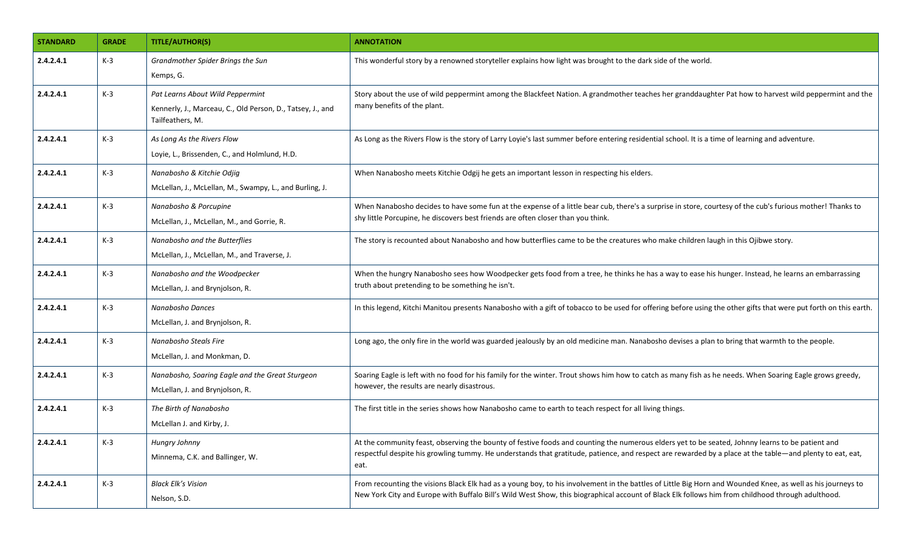| <b>STANDARD</b> | <b>GRADE</b> | <b>TITLE/AUTHOR(S)</b>                                                                                             | <b>ANNOTATION</b>                                                                                                                                                                                                                                                                                                    |
|-----------------|--------------|--------------------------------------------------------------------------------------------------------------------|----------------------------------------------------------------------------------------------------------------------------------------------------------------------------------------------------------------------------------------------------------------------------------------------------------------------|
| 2.4.2.4.1       | $K-3$        | Grandmother Spider Brings the Sun<br>Kemps, G.                                                                     | This wonderful story by a renowned storyteller explains how light was brought to the dark side of the world.                                                                                                                                                                                                         |
| 2.4.2.4.1       | $K-3$        | Pat Learns About Wild Peppermint<br>Kennerly, J., Marceau, C., Old Person, D., Tatsey, J., and<br>Tailfeathers, M. | Story about the use of wild peppermint among the Blackfeet Nation. A grandmother teaches her granddaughter Pat how to harvest wild peppermint and the<br>many benefits of the plant.                                                                                                                                 |
| 2.4.2.4.1       | $K-3$        | As Long As the Rivers Flow<br>Loyie, L., Brissenden, C., and Holmlund, H.D.                                        | As Long as the Rivers Flow is the story of Larry Loyie's last summer before entering residential school. It is a time of learning and adventure.                                                                                                                                                                     |
| 2.4.2.4.1       | $K-3$        | Nanabosho & Kitchie Odjig<br>McLellan, J., McLellan, M., Swampy, L., and Burling, J.                               | When Nanabosho meets Kitchie Odgij he gets an important lesson in respecting his elders.                                                                                                                                                                                                                             |
| 2.4.2.4.1       | $K-3$        | Nanabosho & Porcupine<br>McLellan, J., McLellan, M., and Gorrie, R.                                                | When Nanabosho decides to have some fun at the expense of a little bear cub, there's a surprise in store, courtesy of the cub's furious mother! Thanks to<br>shy little Porcupine, he discovers best friends are often closer than you think.                                                                        |
| 2.4.2.4.1       | $K-3$        | Nanabosho and the Butterflies<br>McLellan, J., McLellan, M., and Traverse, J.                                      | The story is recounted about Nanabosho and how butterflies came to be the creatures who make children laugh in this Ojibwe story.                                                                                                                                                                                    |
| 2.4.2.4.1       | $K-3$        | Nanabosho and the Woodpecker<br>McLellan, J. and Brynjolson, R.                                                    | When the hungry Nanabosho sees how Woodpecker gets food from a tree, he thinks he has a way to ease his hunger. Instead, he learns an embarrassing<br>truth about pretending to be something he isn't.                                                                                                               |
| 2.4.2.4.1       | $K-3$        | Nanabosho Dances<br>McLellan, J. and Brynjolson, R.                                                                | In this legend, Kitchi Manitou presents Nanabosho with a gift of tobacco to be used for offering before using the other gifts that were put forth on this earth.                                                                                                                                                     |
| 2.4.2.4.1       | $K-3$        | Nanabosho Steals Fire<br>McLellan, J. and Monkman, D.                                                              | Long ago, the only fire in the world was guarded jealously by an old medicine man. Nanabosho devises a plan to bring that warmth to the people.                                                                                                                                                                      |
| 2.4.2.4.1       | $K-3$        | Nanabosho, Soaring Eagle and the Great Sturgeon<br>McLellan, J. and Brynjolson, R.                                 | Soaring Eagle is left with no food for his family for the winter. Trout shows him how to catch as many fish as he needs. When Soaring Eagle grows greedy,<br>however, the results are nearly disastrous.                                                                                                             |
| 2.4.2.4.1       | $K-3$        | The Birth of Nanabosho<br>McLellan J. and Kirby, J.                                                                | The first title in the series shows how Nanabosho came to earth to teach respect for all living things.                                                                                                                                                                                                              |
| 2.4.2.4.1       | $K-3$        | Hungry Johnny<br>Minnema, C.K. and Ballinger, W.                                                                   | At the community feast, observing the bounty of festive foods and counting the numerous elders yet to be seated, Johnny learns to be patient and<br>respectful despite his growling tummy. He understands that gratitude, patience, and respect are rewarded by a place at the table—and plenty to eat, eat,<br>eat. |
| 2.4.2.4.1       | $K-3$        | <b>Black Elk's Vision</b><br>Nelson, S.D.                                                                          | From recounting the visions Black Elk had as a young boy, to his involvement in the battles of Little Big Horn and Wounded Knee, as well as his journeys to<br>New York City and Europe with Buffalo Bill's Wild West Show, this biographical account of Black Elk follows him from childhood through adulthood.     |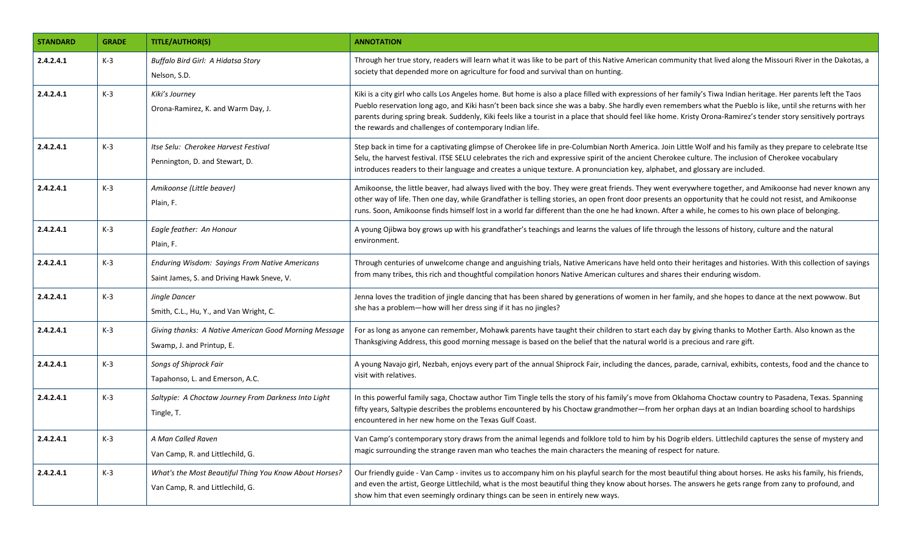| <b>STANDARD</b> | <b>GRADE</b> | <b>TITLE/AUTHOR(S)</b>                                                                       | <b>ANNOTATION</b>                                                                                                                                                                                                                                                                                                                                                                                                                                                                                                                                             |
|-----------------|--------------|----------------------------------------------------------------------------------------------|---------------------------------------------------------------------------------------------------------------------------------------------------------------------------------------------------------------------------------------------------------------------------------------------------------------------------------------------------------------------------------------------------------------------------------------------------------------------------------------------------------------------------------------------------------------|
| 2.4.2.4.1       | $K-3$        | <b>Buffalo Bird Girl: A Hidatsa Story</b><br>Nelson, S.D.                                    | Through her true story, readers will learn what it was like to be part of this Native American community that lived along the Missouri River in the Dakotas, a<br>society that depended more on agriculture for food and survival than on hunting.                                                                                                                                                                                                                                                                                                            |
| 2.4.2.4.1       | $K-3$        | Kiki's Journey<br>Orona-Ramirez, K. and Warm Day, J.                                         | Kiki is a city girl who calls Los Angeles home. But home is also a place filled with expressions of her family's Tiwa Indian heritage. Her parents left the Taos<br>Pueblo reservation long ago, and Kiki hasn't been back since she was a baby. She hardly even remembers what the Pueblo is like, until she returns with her<br>parents during spring break. Suddenly, Kiki feels like a tourist in a place that should feel like home. Kristy Orona-Ramirez's tender story sensitively portrays<br>the rewards and challenges of contemporary Indian life. |
| 2.4.2.4.1       | $K-3$        | Itse Selu: Cherokee Harvest Festival<br>Pennington, D. and Stewart, D.                       | Step back in time for a captivating glimpse of Cherokee life in pre-Columbian North America. Join Little Wolf and his family as they prepare to celebrate Itse<br>Selu, the harvest festival. ITSE SELU celebrates the rich and expressive spirit of the ancient Cherokee culture. The inclusion of Cherokee vocabulary<br>introduces readers to their language and creates a unique texture. A pronunciation key, alphabet, and glossary are included.                                                                                                       |
| 2.4.2.4.1       | $K-3$        | Amikoonse (Little beaver)<br>Plain, F.                                                       | Amikoonse, the little beaver, had always lived with the boy. They were great friends. They went everywhere together, and Amikoonse had never known any<br>other way of life. Then one day, while Grandfather is telling stories, an open front door presents an opportunity that he could not resist, and Amikoonse<br>runs. Soon, Amikoonse finds himself lost in a world far different than the one he had known. After a while, he comes to his own place of belonging.                                                                                    |
| 2.4.2.4.1       | $K-3$        | Eagle feather: An Honour<br>Plain, F.                                                        | A young Ojibwa boy grows up with his grandfather's teachings and learns the values of life through the lessons of history, culture and the natural<br>environment.                                                                                                                                                                                                                                                                                                                                                                                            |
| 2.4.2.4.1       | $K-3$        | Enduring Wisdom: Sayings From Native Americans<br>Saint James, S. and Driving Hawk Sneve, V. | Through centuries of unwelcome change and anguishing trials, Native Americans have held onto their heritages and histories. With this collection of sayings<br>from many tribes, this rich and thoughtful compilation honors Native American cultures and shares their enduring wisdom.                                                                                                                                                                                                                                                                       |
| 2.4.2.4.1       | $K-3$        | Jingle Dancer<br>Smith, C.L., Hu, Y., and Van Wright, C.                                     | Jenna loves the tradition of jingle dancing that has been shared by generations of women in her family, and she hopes to dance at the next powwow. But<br>she has a problem-how will her dress sing if it has no jingles?                                                                                                                                                                                                                                                                                                                                     |
| 2.4.2.4.1       | $K-3$        | Giving thanks: A Native American Good Morning Message<br>Swamp, J. and Printup, E.           | For as long as anyone can remember, Mohawk parents have taught their children to start each day by giving thanks to Mother Earth. Also known as the<br>Thanksgiving Address, this good morning message is based on the belief that the natural world is a precious and rare gift.                                                                                                                                                                                                                                                                             |
| 2.4.2.4.1       | $K-3$        | Songs of Shiprock Fair<br>Tapahonso, L. and Emerson, A.C.                                    | A young Navajo girl, Nezbah, enjoys every part of the annual Shiprock Fair, including the dances, parade, carnival, exhibits, contests, food and the chance to<br>visit with relatives.                                                                                                                                                                                                                                                                                                                                                                       |
| 2.4.2.4.1       | $K-3$        | Saltypie: A Choctaw Journey From Darkness Into Light<br>Tingle, T.                           | In this powerful family saga, Choctaw author Tim Tingle tells the story of his family's move from Oklahoma Choctaw country to Pasadena, Texas. Spanning<br>fifty years, Saltypie describes the problems encountered by his Choctaw grandmother—from her orphan days at an Indian boarding school to hardships<br>encountered in her new home on the Texas Gulf Coast.                                                                                                                                                                                         |
| 2.4.2.4.1       | $K-3$        | A Man Called Raven<br>Van Camp, R. and Littlechild, G.                                       | Van Camp's contemporary story draws from the animal legends and folklore told to him by his Dogrib elders. Littlechild captures the sense of mystery and<br>magic surrounding the strange raven man who teaches the main characters the meaning of respect for nature.                                                                                                                                                                                                                                                                                        |
| 2.4.2.4.1       | $K-3$        | What's the Most Beautiful Thing You Know About Horses?<br>Van Camp, R. and Littlechild, G.   | Our friendly guide - Van Camp - invites us to accompany him on his playful search for the most beautiful thing about horses. He asks his family, his friends,<br>and even the artist, George Littlechild, what is the most beautiful thing they know about horses. The answers he gets range from zany to profound, and<br>show him that even seemingly ordinary things can be seen in entirely new ways.                                                                                                                                                     |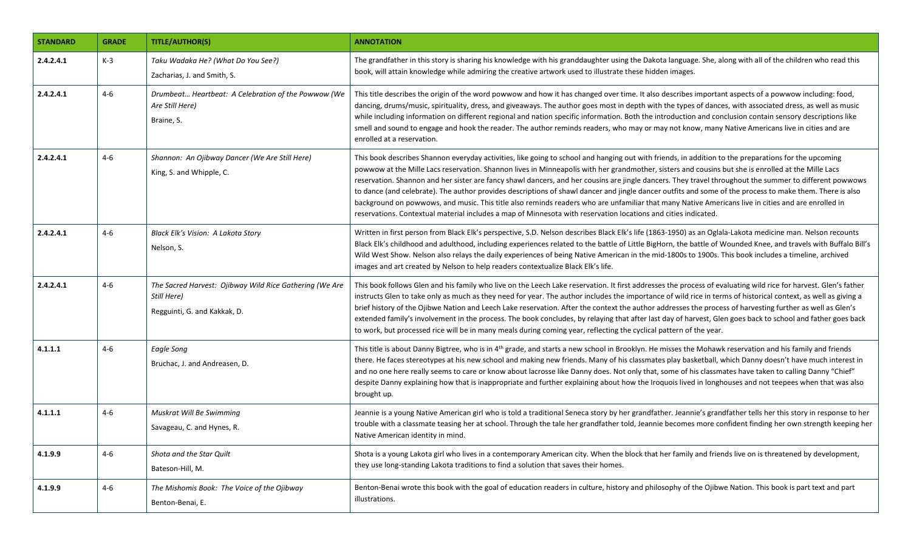| <b>STANDARD</b> | <b>GRADE</b> | <b>TITLE/AUTHOR(S)</b>                                                                                 | <b>ANNOTATION</b>                                                                                                                                                                                                                                                                                                                                                                                                                                                                                                                                                                                                                                                                                                                                                                                                                                                                                         |
|-----------------|--------------|--------------------------------------------------------------------------------------------------------|-----------------------------------------------------------------------------------------------------------------------------------------------------------------------------------------------------------------------------------------------------------------------------------------------------------------------------------------------------------------------------------------------------------------------------------------------------------------------------------------------------------------------------------------------------------------------------------------------------------------------------------------------------------------------------------------------------------------------------------------------------------------------------------------------------------------------------------------------------------------------------------------------------------|
| 2.4.2.4.1       | $K-3$        | Taku Wadaka He? (What Do You See?)<br>Zacharias, J. and Smith, S.                                      | The grandfather in this story is sharing his knowledge with his granddaughter using the Dakota language. She, along with all of the children who read this<br>book, will attain knowledge while admiring the creative artwork used to illustrate these hidden images.                                                                                                                                                                                                                                                                                                                                                                                                                                                                                                                                                                                                                                     |
| 2.4.2.4.1       | 4-6          | Drumbeat Heartbeat: A Celebration of the Powwow (We<br>Are Still Here)<br>Braine, S.                   | This title describes the origin of the word powwow and how it has changed over time. It also describes important aspects of a powwow including: food,<br>dancing, drums/music, spirituality, dress, and giveaways. The author goes most in depth with the types of dances, with associated dress, as well as music<br>while including information on different regional and nation specific information. Both the introduction and conclusion contain sensory descriptions like<br>smell and sound to engage and hook the reader. The author reminds readers, who may or may not know, many Native Americans live in cities and are<br>enrolled at a reservation.                                                                                                                                                                                                                                         |
| 2.4.2.4.1       | 4-6          | Shannon: An Ojibway Dancer (We Are Still Here)<br>King, S. and Whipple, C.                             | This book describes Shannon everyday activities, like going to school and hanging out with friends, in addition to the preparations for the upcoming<br>powwow at the Mille Lacs reservation. Shannon lives in Minneapolis with her grandmother, sisters and cousins but she is enrolled at the Mille Lacs<br>reservation. Shannon and her sister are fancy shawl dancers, and her cousins are jingle dancers. They travel throughout the summer to different powwows<br>to dance (and celebrate). The author provides descriptions of shawl dancer and jingle dancer outfits and some of the process to make them. There is also<br>background on powwows, and music. This title also reminds readers who are unfamiliar that many Native Americans live in cities and are enrolled in<br>reservations. Contextual material includes a map of Minnesota with reservation locations and cities indicated. |
| 2.4.2.4.1       | $4 - 6$      | Black Elk's Vision: A Lakota Story<br>Nelson, S.                                                       | Written in first person from Black Elk's perspective, S.D. Nelson describes Black Elk's life (1863-1950) as an Oglala-Lakota medicine man. Nelson recounts<br>Black Elk's childhood and adulthood, including experiences related to the battle of Little BigHorn, the battle of Wounded Knee, and travels with Buffalo Bill's<br>Wild West Show. Nelson also relays the daily experiences of being Native American in the mid-1800s to 1900s. This book includes a timeline, archived<br>images and art created by Nelson to help readers contextualize Black Elk's life.                                                                                                                                                                                                                                                                                                                                 |
| 2.4.2.4.1       | $4 - 6$      | The Sacred Harvest: Ojibway Wild Rice Gathering (We Are<br>Still Here)<br>Regguinti, G. and Kakkak, D. | This book follows Glen and his family who live on the Leech Lake reservation. It first addresses the process of evaluating wild rice for harvest. Glen's father<br>instructs Glen to take only as much as they need for year. The author includes the importance of wild rice in terms of historical context, as well as giving a<br>brief history of the Ojibwe Nation and Leech Lake reservation. After the context the author addresses the process of harvesting further as well as Glen's<br>extended family's involvement in the process. The book concludes, by relaying that after last day of harvest, Glen goes back to school and father goes back<br>to work, but processed rice will be in many meals during coming year, reflecting the cyclical pattern of the year.                                                                                                                       |
| 4.1.1.1         | 4-6          | Eagle Song<br>Bruchac, J. and Andreasen, D.                                                            | This title is about Danny Bigtree, who is in 4 <sup>th</sup> grade, and starts a new school in Brooklyn. He misses the Mohawk reservation and his family and friends<br>there. He faces stereotypes at his new school and making new friends. Many of his classmates play basketball, which Danny doesn't have much interest in<br>and no one here really seems to care or know about lacrosse like Danny does. Not only that, some of his classmates have taken to calling Danny "Chief"<br>despite Danny explaining how that is inappropriate and further explaining about how the Iroquois lived in longhouses and not teepees when that was also<br>brought up.                                                                                                                                                                                                                                       |
| 4.1.1.1         | 4-6          | Muskrat Will Be Swimming<br>Savageau, C. and Hynes, R.                                                 | Jeannie is a young Native American girl who is told a traditional Seneca story by her grandfather. Jeannie's grandfather tells her this story in response to her<br>trouble with a classmate teasing her at school. Through the tale her grandfather told, Jeannie becomes more confident finding her own strength keeping her<br>Native American identity in mind.                                                                                                                                                                                                                                                                                                                                                                                                                                                                                                                                       |
| 4.1.9.9         | $4 - 6$      | Shota and the Star Quilt<br>Bateson-Hill, M.                                                           | Shota is a young Lakota girl who lives in a contemporary American city. When the block that her family and friends live on is threatened by development,<br>they use long-standing Lakota traditions to find a solution that saves their homes.                                                                                                                                                                                                                                                                                                                                                                                                                                                                                                                                                                                                                                                           |
| 4.1.9.9         | $4 - 6$      | The Mishomis Book: The Voice of the Ojibway<br>Benton-Benai, E.                                        | Benton-Benai wrote this book with the goal of education readers in culture, history and philosophy of the Ojibwe Nation. This book is part text and part<br>illustrations.                                                                                                                                                                                                                                                                                                                                                                                                                                                                                                                                                                                                                                                                                                                                |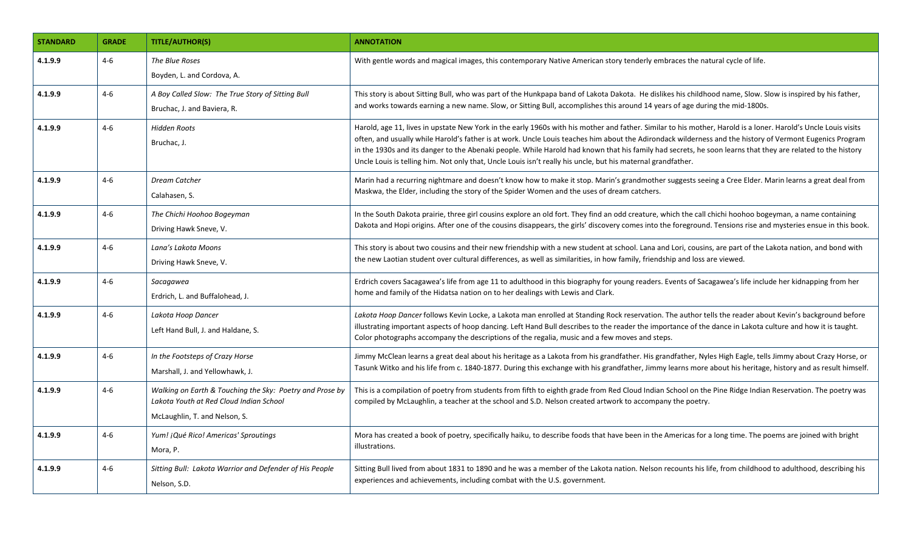| <b>STANDARD</b> | <b>GRADE</b> | <b>TITLE/AUTHOR(S)</b>                                                                                                               | <b>ANNOTATION</b>                                                                                                                                                                                                                                                                                                                                                                                                                                                                                                                                                                                        |
|-----------------|--------------|--------------------------------------------------------------------------------------------------------------------------------------|----------------------------------------------------------------------------------------------------------------------------------------------------------------------------------------------------------------------------------------------------------------------------------------------------------------------------------------------------------------------------------------------------------------------------------------------------------------------------------------------------------------------------------------------------------------------------------------------------------|
| 4.1.9.9         | $4 - 6$      | The Blue Roses<br>Boyden, L. and Cordova, A.                                                                                         | With gentle words and magical images, this contemporary Native American story tenderly embraces the natural cycle of life.                                                                                                                                                                                                                                                                                                                                                                                                                                                                               |
| 4.1.9.9         | $4 - 6$      | A Boy Called Slow: The True Story of Sitting Bull<br>Bruchac, J. and Baviera, R.                                                     | This story is about Sitting Bull, who was part of the Hunkpapa band of Lakota Dakota. He dislikes his childhood name, Slow. Slow is inspired by his father,<br>and works towards earning a new name. Slow, or Sitting Bull, accomplishes this around 14 years of age during the mid-1800s.                                                                                                                                                                                                                                                                                                               |
| 4.1.9.9         | $4 - 6$      | <b>Hidden Roots</b><br>Bruchac, J.                                                                                                   | Harold, age 11, lives in upstate New York in the early 1960s with his mother and father. Similar to his mother, Harold is a loner. Harold's Uncle Louis visits<br>often, and usually while Harold's father is at work. Uncle Louis teaches him about the Adirondack wilderness and the history of Vermont Eugenics Program<br>in the 1930s and its danger to the Abenaki people. While Harold had known that his family had secrets, he soon learns that they are related to the history<br>Uncle Louis is telling him. Not only that, Uncle Louis isn't really his uncle, but his maternal grandfather. |
| 4.1.9.9         | $4 - 6$      | Dream Catcher<br>Calahasen, S.                                                                                                       | Marin had a recurring nightmare and doesn't know how to make it stop. Marin's grandmother suggests seeing a Cree Elder. Marin learns a great deal from<br>Maskwa, the Elder, including the story of the Spider Women and the uses of dream catchers.                                                                                                                                                                                                                                                                                                                                                     |
| 4.1.9.9         | $4 - 6$      | The Chichi Hoohoo Bogeyman<br>Driving Hawk Sneve, V.                                                                                 | In the South Dakota prairie, three girl cousins explore an old fort. They find an odd creature, which the call chichi hoohoo bogeyman, a name containing<br>Dakota and Hopi origins. After one of the cousins disappears, the girls' discovery comes into the foreground. Tensions rise and mysteries ensue in this book.                                                                                                                                                                                                                                                                                |
| 4.1.9.9         | $4 - 6$      | Lana's Lakota Moons<br>Driving Hawk Sneve, V.                                                                                        | This story is about two cousins and their new friendship with a new student at school. Lana and Lori, cousins, are part of the Lakota nation, and bond with<br>the new Laotian student over cultural differences, as well as similarities, in how family, friendship and loss are viewed.                                                                                                                                                                                                                                                                                                                |
| 4.1.9.9         | $4 - 6$      | Sacagawea<br>Erdrich, L. and Buffalohead, J.                                                                                         | Erdrich covers Sacagawea's life from age 11 to adulthood in this biography for young readers. Events of Sacagawea's life include her kidnapping from her<br>home and family of the Hidatsa nation on to her dealings with Lewis and Clark.                                                                                                                                                                                                                                                                                                                                                               |
| 4.1.9.9         | $4 - 6$      | Lakota Hoop Dancer<br>Left Hand Bull, J. and Haldane, S.                                                                             | Lakota Hoop Dancer follows Kevin Locke, a Lakota man enrolled at Standing Rock reservation. The author tells the reader about Kevin's background before<br>illustrating important aspects of hoop dancing. Left Hand Bull describes to the reader the importance of the dance in Lakota culture and how it is taught.<br>Color photographs accompany the descriptions of the regalia, music and a few moves and steps.                                                                                                                                                                                   |
| 4.1.9.9         | $4-6$        | In the Footsteps of Crazy Horse<br>Marshall, J. and Yellowhawk, J.                                                                   | Jimmy McClean learns a great deal about his heritage as a Lakota from his grandfather. His grandfather, Nyles High Eagle, tells Jimmy about Crazy Horse, or<br>Tasunk Witko and his life from c. 1840-1877. During this exchange with his grandfather, Jimmy learns more about his heritage, history and as result himself.                                                                                                                                                                                                                                                                              |
| 4.1.9.9         | $4 - 6$      | Walking on Earth & Touching the Sky: Poetry and Prose by<br>Lakota Youth at Red Cloud Indian School<br>McLaughlin, T. and Nelson, S. | This is a compilation of poetry from students from fifth to eighth grade from Red Cloud Indian School on the Pine Ridge Indian Reservation. The poetry was<br>compiled by McLaughlin, a teacher at the school and S.D. Nelson created artwork to accompany the poetry.                                                                                                                                                                                                                                                                                                                                   |
| 4.1.9.9         | $4 - 6$      | Yum! ¡Qué Rico! Americas' Sproutings<br>Mora, P.                                                                                     | Mora has created a book of poetry, specifically haiku, to describe foods that have been in the Americas for a long time. The poems are joined with bright<br>illustrations.                                                                                                                                                                                                                                                                                                                                                                                                                              |
| 4.1.9.9         | $4 - 6$      | Sitting Bull: Lakota Warrior and Defender of His People<br>Nelson, S.D.                                                              | Sitting Bull lived from about 1831 to 1890 and he was a member of the Lakota nation. Nelson recounts his life, from childhood to adulthood, describing his<br>experiences and achievements, including combat with the U.S. government.                                                                                                                                                                                                                                                                                                                                                                   |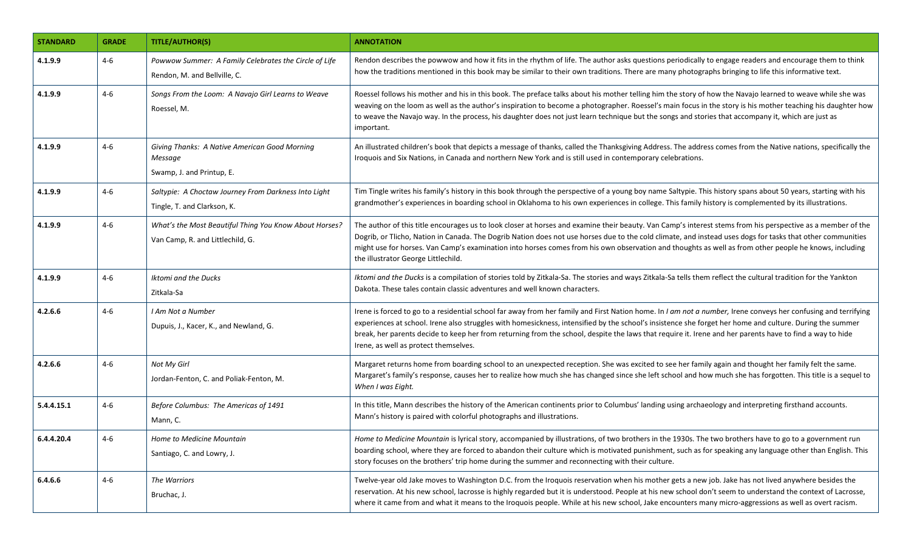| <b>STANDARD</b> | <b>GRADE</b> | <b>TITLE/AUTHOR(S)</b>                                                                     | <b>ANNOTATION</b>                                                                                                                                                                                                                                                                                                                                                                                                                                                                                                               |
|-----------------|--------------|--------------------------------------------------------------------------------------------|---------------------------------------------------------------------------------------------------------------------------------------------------------------------------------------------------------------------------------------------------------------------------------------------------------------------------------------------------------------------------------------------------------------------------------------------------------------------------------------------------------------------------------|
| 4.1.9.9         | $4-6$        | Powwow Summer: A Family Celebrates the Circle of Life<br>Rendon, M. and Bellville, C.      | Rendon describes the powwow and how it fits in the rhythm of life. The author asks questions periodically to engage readers and encourage them to think<br>how the traditions mentioned in this book may be similar to their own traditions. There are many photographs bringing to life this informative text.                                                                                                                                                                                                                 |
| 4.1.9.9         | $4 - 6$      | Songs From the Loom: A Navajo Girl Learns to Weave<br>Roessel, M.                          | Roessel follows his mother and his in this book. The preface talks about his mother telling him the story of how the Navajo learned to weave while she was<br>weaving on the loom as well as the author's inspiration to become a photographer. Roessel's main focus in the story is his mother teaching his daughter how<br>to weave the Navajo way. In the process, his daughter does not just learn technique but the songs and stories that accompany it, which are just as<br>important.                                   |
| 4.1.9.9         | $4-6$        | Giving Thanks: A Native American Good Morning<br>Message<br>Swamp, J. and Printup, E.      | An illustrated children's book that depicts a message of thanks, called the Thanksgiving Address. The address comes from the Native nations, specifically the<br>Iroquois and Six Nations, in Canada and northern New York and is still used in contemporary celebrations.                                                                                                                                                                                                                                                      |
| 4.1.9.9         | $4 - 6$      | Saltypie: A Choctaw Journey From Darkness Into Light<br>Tingle, T. and Clarkson, K.        | Tim Tingle writes his family's history in this book through the perspective of a young boy name Saltypie. This history spans about 50 years, starting with his<br>grandmother's experiences in boarding school in Oklahoma to his own experiences in college. This family history is complemented by its illustrations.                                                                                                                                                                                                         |
| 4.1.9.9         | $4 - 6$      | What's the Most Beautiful Thing You Know About Horses?<br>Van Camp, R. and Littlechild, G. | The author of this title encourages us to look closer at horses and examine their beauty. Van Camp's interest stems from his perspective as a member of the<br>Dogrib, or Tlicho, Nation in Canada. The Dogrib Nation does not use horses due to the cold climate, and instead uses dogs for tasks that other communities<br>might use for horses. Van Camp's examination into horses comes from his own observation and thoughts as well as from other people he knows, including<br>the illustrator George Littlechild.       |
| 4.1.9.9         | 4-6          | Iktomi and the Ducks<br>Zitkala-Sa                                                         | Iktomi and the Ducks is a compilation of stories told by Zitkala-Sa. The stories and ways Zitkala-Sa tells them reflect the cultural tradition for the Yankton<br>Dakota. These tales contain classic adventures and well known characters.                                                                                                                                                                                                                                                                                     |
| 4.2.6.6         | 4-6          | I Am Not a Number<br>Dupuis, J., Kacer, K., and Newland, G.                                | Irene is forced to go to a residential school far away from her family and First Nation home. In I am not a number, Irene conveys her confusing and terrifying<br>experiences at school. Irene also struggles with homesickness, intensified by the school's insistence she forget her home and culture. During the summer<br>break, her parents decide to keep her from returning from the school, despite the laws that require it. Irene and her parents have to find a way to hide<br>Irene, as well as protect themselves. |
| 4.2.6.6         | 4-6          | Not My Girl<br>Jordan-Fenton, C. and Poliak-Fenton, M.                                     | Margaret returns home from boarding school to an unexpected reception. She was excited to see her family again and thought her family felt the same.<br>Margaret's family's response, causes her to realize how much she has changed since she left school and how much she has forgotten. This title is a sequel to<br>When I was Eight.                                                                                                                                                                                       |
| 5.4.4.15.1      | $4 - 6$      | Before Columbus: The Americas of 1491<br>Mann, C.                                          | In this title, Mann describes the history of the American continents prior to Columbus' landing using archaeology and interpreting firsthand accounts.<br>Mann's history is paired with colorful photographs and illustrations.                                                                                                                                                                                                                                                                                                 |
| 6.4.4.20.4      | $4 - 6$      | Home to Medicine Mountain<br>Santiago, C. and Lowry, J.                                    | Home to Medicine Mountain is lyrical story, accompanied by illustrations, of two brothers in the 1930s. The two brothers have to go to a government run<br>boarding school, where they are forced to abandon their culture which is motivated punishment, such as for speaking any language other than English. This<br>story focuses on the brothers' trip home during the summer and reconnecting with their culture.                                                                                                         |
| 6.4.6.6         | $4 - 6$      | The Warriors<br>Bruchac, J.                                                                | Twelve-year old Jake moves to Washington D.C. from the Iroquois reservation when his mother gets a new job. Jake has not lived anywhere besides the<br>reservation. At his new school, lacrosse is highly regarded but it is understood. People at his new school don't seem to understand the context of Lacrosse,<br>where it came from and what it means to the Iroquois people. While at his new school, Jake encounters many micro-aggressions as well as overt racism.                                                    |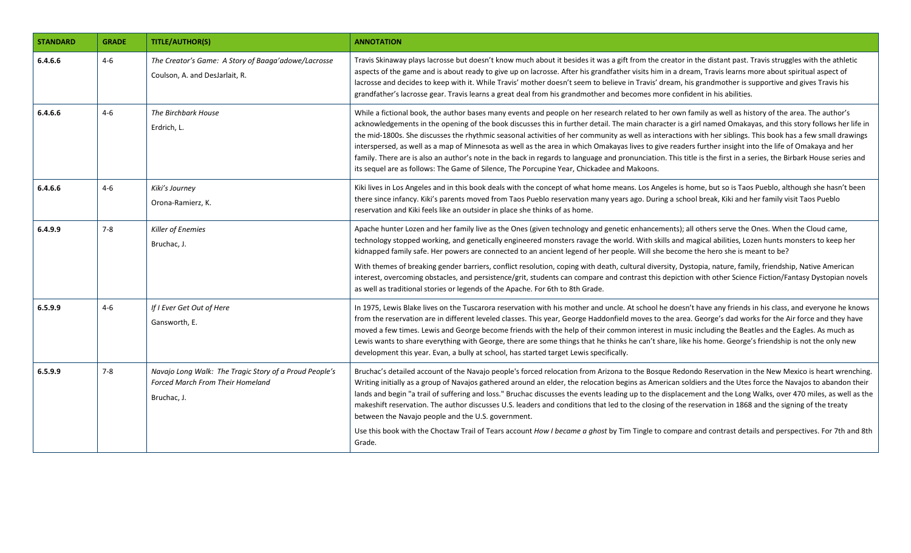| <b>STANDARD</b> | <b>GRADE</b> | <b>TITLE/AUTHOR(S)</b>                                                                                           | <b>ANNOTATION</b>                                                                                                                                                                                                                                                                                                                                                                                                                                                                                                                                                                                                                                                                                                                                                                                                                                                                                                       |
|-----------------|--------------|------------------------------------------------------------------------------------------------------------------|-------------------------------------------------------------------------------------------------------------------------------------------------------------------------------------------------------------------------------------------------------------------------------------------------------------------------------------------------------------------------------------------------------------------------------------------------------------------------------------------------------------------------------------------------------------------------------------------------------------------------------------------------------------------------------------------------------------------------------------------------------------------------------------------------------------------------------------------------------------------------------------------------------------------------|
| 6.4.6.6         | $4 - 6$      | The Creator's Game: A Story of Baaga'adowe/Lacrosse<br>Coulson, A. and DesJarlait, R.                            | Travis Skinaway plays lacrosse but doesn't know much about it besides it was a gift from the creator in the distant past. Travis struggles with the athletic<br>aspects of the game and is about ready to give up on lacrosse. After his grandfather visits him in a dream, Travis learns more about spiritual aspect of<br>lacrosse and decides to keep with it. While Travis' mother doesn't seem to believe in Travis' dream, his grandmother is supportive and gives Travis his<br>grandfather's lacrosse gear. Travis learns a great deal from his grandmother and becomes more confident in his abilities.                                                                                                                                                                                                                                                                                                        |
| 6.4.6.6         | $4-6$        | The Birchbark House<br>Erdrich, L.                                                                               | While a fictional book, the author bases many events and people on her research related to her own family as well as history of the area. The author's<br>acknowledgements in the opening of the book discusses this in further detail. The main character is a girl named Omakayas, and this story follows her life in<br>the mid-1800s. She discusses the rhythmic seasonal activities of her community as well as interactions with her siblings. This book has a few small drawings<br>interspersed, as well as a map of Minnesota as well as the area in which Omakayas lives to give readers further insight into the life of Omakaya and her<br>family. There are is also an author's note in the back in regards to language and pronunciation. This title is the first in a series, the Birbark House series and<br>its sequel are as follows: The Game of Silence, The Porcupine Year, Chickadee and Makoons. |
| 6.4.6.6         | $4 - 6$      | Kiki's Journey<br>Orona-Ramierz, K.                                                                              | Kiki lives in Los Angeles and in this book deals with the concept of what home means. Los Angeles is home, but so is Taos Pueblo, although she hasn't been<br>there since infancy. Kiki's parents moved from Taos Pueblo reservation many years ago. During a school break, Kiki and her family visit Taos Pueblo<br>reservation and Kiki feels like an outsider in place she thinks of as home.                                                                                                                                                                                                                                                                                                                                                                                                                                                                                                                        |
| 6.4.9.9         | $7 - 8$      | Killer of Enemies<br>Bruchac, J.                                                                                 | Apache hunter Lozen and her family live as the Ones (given technology and genetic enhancements); all others serve the Ones. When the Cloud came,<br>technology stopped working, and genetically engineered monsters ravage the world. With skills and magical abilities, Lozen hunts monsters to keep her<br>kidnapped family safe. Her powers are connected to an ancient legend of her people. Will she become the hero she is meant to be?                                                                                                                                                                                                                                                                                                                                                                                                                                                                           |
|                 |              |                                                                                                                  | With themes of breaking gender barriers, conflict resolution, coping with death, cultural diversity, Dystopia, nature, family, friendship, Native American<br>interest, overcoming obstacles, and persistence/grit, students can compare and contrast this depiction with other Science Fiction/Fantasy Dystopian novels<br>as well as traditional stories or legends of the Apache. For 6th to 8th Grade.                                                                                                                                                                                                                                                                                                                                                                                                                                                                                                              |
| 6.5.9.9         | $4-6$        | If I Ever Get Out of Here<br>Gansworth, E.                                                                       | In 1975, Lewis Blake lives on the Tuscarora reservation with his mother and uncle. At school he doesn't have any friends in his class, and everyone he knows<br>from the reservation are in different leveled classes. This year, George Haddonfield moves to the area. George's dad works for the Air force and they have<br>moved a few times. Lewis and George become friends with the help of their common interest in music including the Beatles and the Eagles. As much as<br>Lewis wants to share everything with George, there are some things that he thinks he can't share, like his home. George's friendship is not the only new<br>development this year. Evan, a bully at school, has started target Lewis specifically.                                                                                                                                                                                 |
| 6.5.9.9         | $7 - 8$      | Navajo Long Walk: The Tragic Story of a Proud People's<br><b>Forced March From Their Homeland</b><br>Bruchac, J. | Bruchac's detailed account of the Navajo people's forced relocation from Arizona to the Bosque Redondo Reservation in the New Mexico is heart wrenching.<br>Writing initially as a group of Navajos gathered around an elder, the relocation begins as American soldiers and the Utes force the Navajos to abandon their<br>lands and begin "a trail of suffering and loss." Bruchac discusses the events leading up to the displacement and the Long Walks, over 470 miles, as well as the<br>makeshift reservation. The author discusses U.S. leaders and conditions that led to the closing of the reservation in 1868 and the signing of the treaty<br>between the Navajo people and the U.S. government.                                                                                                                                                                                                           |
|                 |              |                                                                                                                  | Use this book with the Choctaw Trail of Tears account How I became a ghost by Tim Tingle to compare and contrast details and perspectives. For 7th and 8th<br>Grade.                                                                                                                                                                                                                                                                                                                                                                                                                                                                                                                                                                                                                                                                                                                                                    |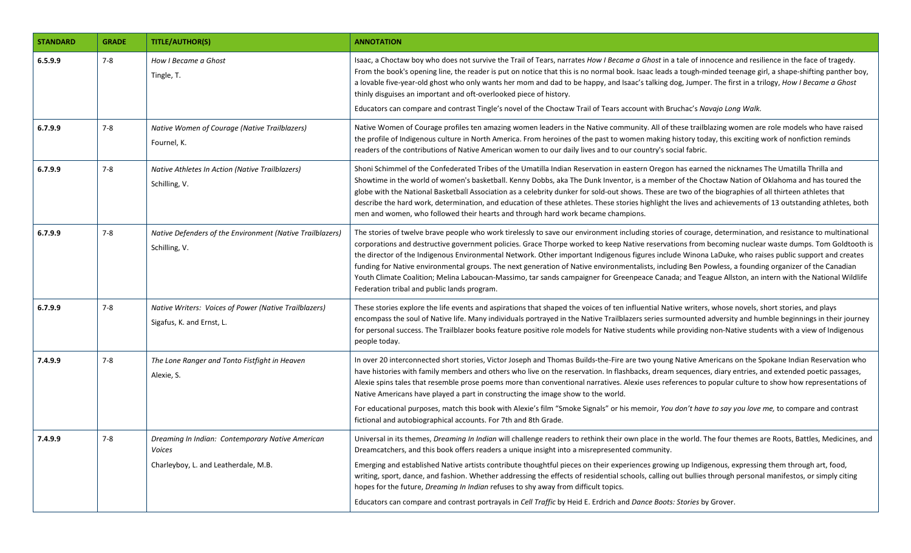| <b>STANDARD</b> | <b>GRADE</b> | <b>TITLE/AUTHOR(S)</b>                                                                             | <b>ANNOTATION</b>                                                                                                                                                                                                                                                                                                                                                                                                                                                                                                                                                                                                                                                                                                                                                                                                                               |
|-----------------|--------------|----------------------------------------------------------------------------------------------------|-------------------------------------------------------------------------------------------------------------------------------------------------------------------------------------------------------------------------------------------------------------------------------------------------------------------------------------------------------------------------------------------------------------------------------------------------------------------------------------------------------------------------------------------------------------------------------------------------------------------------------------------------------------------------------------------------------------------------------------------------------------------------------------------------------------------------------------------------|
| 6.5.9.9         | $7 - 8$      | How I Became a Ghost<br>Tingle, T.                                                                 | Isaac, a Choctaw boy who does not survive the Trail of Tears, narrates How I Became a Ghost in a tale of innocence and resilience in the face of tragedy.<br>From the book's opening line, the reader is put on notice that this is no normal book. Isaac leads a tough-minded teenage girl, a shape-shifting panther boy,<br>a lovable five-year-old ghost who only wants her mom and dad to be happy, and Isaac's talking dog, Jumper. The first in a trilogy, How I Became a Ghost<br>thinly disguises an important and oft-overlooked piece of history.<br>Educators can compare and contrast Tingle's novel of the Choctaw Trail of Tears account with Bruchac's Navajo Long Walk.                                                                                                                                                         |
| 6.7.9.9         | $7 - 8$      | Native Women of Courage (Native Trailblazers)<br>Fournel, K.                                       | Native Women of Courage profiles ten amazing women leaders in the Native community. All of these trailblazing women are role models who have raised<br>the profile of Indigenous culture in North America. From heroines of the past to women making history today, this exciting work of nonfiction reminds<br>readers of the contributions of Native American women to our daily lives and to our country's social fabric.                                                                                                                                                                                                                                                                                                                                                                                                                    |
| 6.7.9.9         | $7 - 8$      | Native Athletes In Action (Native Trailblazers)<br>Schilling, V.                                   | Shoni Schimmel of the Confederated Tribes of the Umatilla Indian Reservation in eastern Oregon has earned the nicknames The Umatilla Thrilla and<br>Showtime in the world of women's basketball. Kenny Dobbs, aka The Dunk Inventor, is a member of the Choctaw Nation of Oklahoma and has toured the<br>globe with the National Basketball Association as a celebrity dunker for sold-out shows. These are two of the biographies of all thirteen athletes that<br>describe the hard work, determination, and education of these athletes. These stories highlight the lives and achievements of 13 outstanding athletes, both<br>men and women, who followed their hearts and through hard work became champions.                                                                                                                             |
| 6.7.9.9         | $7 - 8$      | Native Defenders of the Environment (Native Trailblazers)<br>Schilling, V.                         | The stories of twelve brave people who work tirelessly to save our environment including stories of courage, determination, and resistance to multinational<br>corporations and destructive government policies. Grace Thorpe worked to keep Native reservations from becoming nuclear waste dumps. Tom Goldtooth is<br>the director of the Indigenous Environmental Network. Other important Indigenous figures include Winona LaDuke, who raises public support and creates<br>funding for Native environmental groups. The next generation of Native environmentalists, including Ben Powless, a founding organizer of the Canadian<br>Youth Climate Coalition; Melina Laboucan-Massimo, tar sands campaigner for Greenpeace Canada; and Teague Allston, an intern with the National Wildlife<br>Federation tribal and public lands program. |
| 6.7.9.9         | $7 - 8$      | Native Writers: Voices of Power (Native Trailblazers)<br>Sigafus, K. and Ernst, L.                 | These stories explore the life events and aspirations that shaped the voices of ten influential Native writers, whose novels, short stories, and plays<br>encompass the soul of Native life. Many individuals portrayed in the Native Trailblazers series surmounted adversity and humble beginnings in their journey<br>for personal success. The Trailblazer books feature positive role models for Native students while providing non-Native students with a view of Indigenous<br>people today.                                                                                                                                                                                                                                                                                                                                            |
| 7.4.9.9         | $7 - 8$      | The Lone Ranger and Tonto Fistfight in Heaven<br>Alexie, S.                                        | In over 20 interconnected short stories, Victor Joseph and Thomas Builds-the-Fire are two young Native Americans on the Spokane Indian Reservation who<br>have histories with family members and others who live on the reservation. In flashbacks, dream sequences, diary entries, and extended poetic passages,<br>Alexie spins tales that resemble prose poems more than conventional narratives. Alexie uses references to popular culture to show how representations of<br>Native Americans have played a part in constructing the image show to the world.<br>For educational purposes, match this book with Alexie's film "Smoke Signals" or his memoir, You don't have to say you love me, to compare and contrast<br>fictional and autobiographical accounts. For 7th and 8th Grade.                                                  |
| 7.4.9.9         | $7 - 8$      | Dreaming In Indian: Contemporary Native American<br>Voices<br>Charleyboy, L. and Leatherdale, M.B. | Universal in its themes, Dreaming In Indian will challenge readers to rethink their own place in the world. The four themes are Roots, Battles, Medicines, and<br>Dreamcatchers, and this book offers readers a unique insight into a misrepresented community.<br>Emerging and established Native artists contribute thoughtful pieces on their experiences growing up Indigenous, expressing them through art, food,<br>writing, sport, dance, and fashion. Whether addressing the effects of residential schools, calling out bullies through personal manifestos, or simply citing<br>hopes for the future, <i>Dreaming In Indian</i> refuses to shy away from difficult topics.<br>Educators can compare and contrast portrayals in Cell Traffic by Heid E. Erdrich and Dance Boots: Stories by Grover.                                    |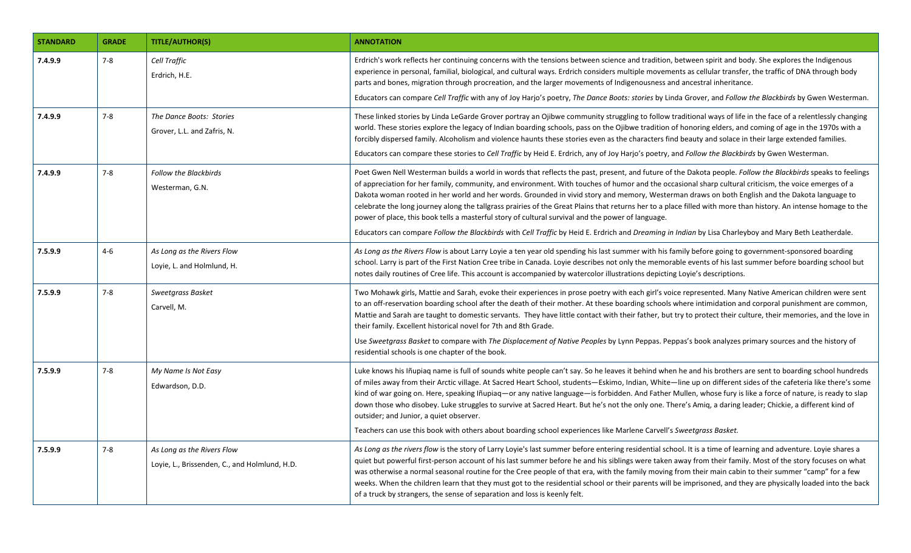| <b>STANDARD</b> | <b>GRADE</b> | <b>TITLE/AUTHOR(S)</b>                                                      | <b>ANNOTATION</b>                                                                                                                                                                                                                                                                                                                                                                                                                                                                                                                                                                                                                                                                                                                                                                                                                                                                                       |
|-----------------|--------------|-----------------------------------------------------------------------------|---------------------------------------------------------------------------------------------------------------------------------------------------------------------------------------------------------------------------------------------------------------------------------------------------------------------------------------------------------------------------------------------------------------------------------------------------------------------------------------------------------------------------------------------------------------------------------------------------------------------------------------------------------------------------------------------------------------------------------------------------------------------------------------------------------------------------------------------------------------------------------------------------------|
| 7.4.9.9         | $7 - 8$      | Cell Traffic<br>Erdrich, H.E.                                               | Erdrich's work reflects her continuing concerns with the tensions between science and tradition, between spirit and body. She explores the Indigenous<br>experience in personal, familial, biological, and cultural ways. Erdrich considers multiple movements as cellular transfer, the traffic of DNA through body<br>parts and bones, migration through procreation, and the larger movements of Indigenousness and ancestral inheritance.                                                                                                                                                                                                                                                                                                                                                                                                                                                           |
|                 |              |                                                                             | Educators can compare Cell Traffic with any of Joy Harjo's poetry, The Dance Boots: stories by Linda Grover, and Follow the Blackbirds by Gwen Westerman.                                                                                                                                                                                                                                                                                                                                                                                                                                                                                                                                                                                                                                                                                                                                               |
| 7.4.9.9         | $7 - 8$      | The Dance Boots: Stories<br>Grover, L.L. and Zafris, N.                     | These linked stories by Linda LeGarde Grover portray an Ojibwe community struggling to follow traditional ways of life in the face of a relentlessly changing<br>world. These stories explore the legacy of Indian boarding schools, pass on the Ojibwe tradition of honoring elders, and coming of age in the 1970s with a<br>forcibly dispersed family. Alcoholism and violence haunts these stories even as the characters find beauty and solace in their large extended families.<br>Educators can compare these stories to Cell Traffic by Heid E. Erdrich, any of Joy Harjo's poetry, and Follow the Blackbirds by Gwen Westerman.                                                                                                                                                                                                                                                               |
| 7.4.9.9         | $7 - 8$      | <b>Follow the Blackbirds</b><br>Westerman, G.N.                             | Poet Gwen Nell Westerman builds a world in words that reflects the past, present, and future of the Dakota people. Follow the Blackbirds speaks to feelings<br>of appreciation for her family, community, and environment. With touches of humor and the occasional sharp cultural criticism, the voice emerges of a<br>Dakota woman rooted in her world and her words. Grounded in vivid story and memory, Westerman draws on both English and the Dakota language to<br>celebrate the long journey along the tallgrass prairies of the Great Plains that returns her to a place filled with more than history. An intense homage to the<br>power of place, this book tells a masterful story of cultural survival and the power of language.<br>Educators can compare Follow the Blackbirds with Cell Traffic by Heid E. Erdrich and Dreaming in Indian by Lisa Charleyboy and Mary Beth Leatherdale. |
| 7.5.9.9         | $4 - 6$      | As Long as the Rivers Flow<br>Loyie, L. and Holmlund, H.                    | As Long as the Rivers Flow is about Larry Loyie a ten year old spending his last summer with his family before going to government-sponsored boarding<br>school. Larry is part of the First Nation Cree tribe in Canada. Loyie describes not only the memorable events of his last summer before boarding school but<br>notes daily routines of Cree life. This account is accompanied by watercolor illustrations depicting Loyie's descriptions.                                                                                                                                                                                                                                                                                                                                                                                                                                                      |
| 7.5.9.9         | $7 - 8$      | Sweetgrass Basket<br>Carvell, M.                                            | Two Mohawk girls, Mattie and Sarah, evoke their experiences in prose poetry with each girl's voice represented. Many Native American children were sent<br>to an off-reservation boarding school after the death of their mother. At these boarding schools where intimidation and corporal punishment are common,<br>Mattie and Sarah are taught to domestic servants. They have little contact with their father, but try to protect their culture, their memories, and the love in<br>their family. Excellent historical novel for 7th and 8th Grade.<br>Use Sweetgrass Basket to compare with The Displacement of Native Peoples by Lynn Peppas. Peppas's book analyzes primary sources and the history of<br>residential schools is one chapter of the book.                                                                                                                                       |
| 7.5.9.9         | $7 - 8$      | My Name Is Not Easy<br>Edwardson, D.D.                                      | Luke knows his Iñupiag name is full of sounds white people can't say. So he leaves it behind when he and his brothers are sent to boarding school hundreds<br>of miles away from their Arctic village. At Sacred Heart School, students—Eskimo, Indian, White—line up on different sides of the cafeteria like there's some<br>kind of war going on. Here, speaking Iñupiaq—or any native language—is forbidden. And Father Mullen, whose fury is like a force of nature, is ready to slap<br>down those who disobey. Luke struggles to survive at Sacred Heart. But he's not the only one. There's Amig, a daring leader; Chickie, a different kind of<br>outsider; and Junior, a quiet observer.<br>Teachers can use this book with others about boarding school experiences like Marlene Carvell's Sweetgrass Basket.                                                                                |
| 7.5.9.9         | $7 - 8$      | As Long as the Rivers Flow<br>Loyie, L., Brissenden, C., and Holmlund, H.D. | As Long as the rivers flow is the story of Larry Loyie's last summer before entering residential school. It is a time of learning and adventure. Loyie shares a<br>quiet but powerful first-person account of his last summer before he and his siblings were taken away from their family. Most of the story focuses on what<br>was otherwise a normal seasonal routine for the Cree people of that era, with the family moving from their main cabin to their summer "camp" for a few<br>weeks. When the children learn that they must got to the residential school or their parents will be imprisoned, and they are physically loaded into the back<br>of a truck by strangers, the sense of separation and loss is keenly felt.                                                                                                                                                                   |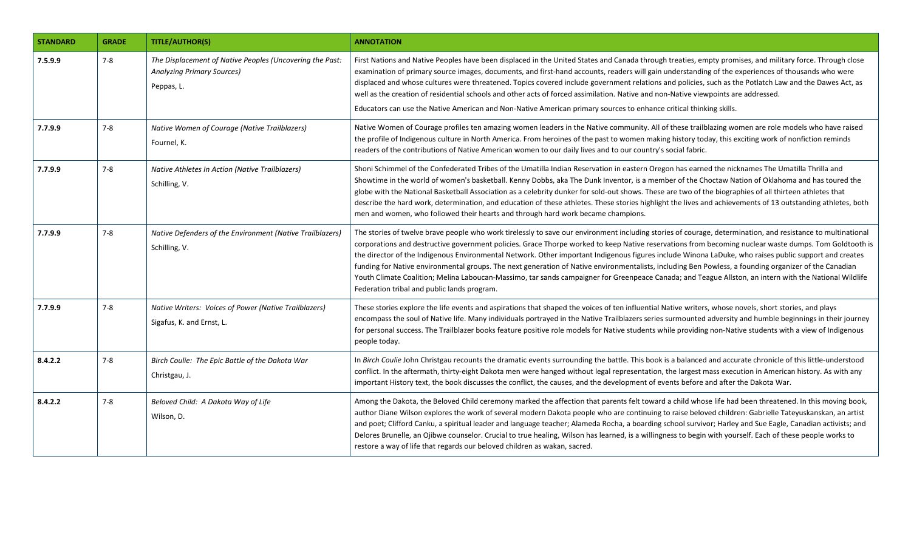| <b>STANDARD</b> | <b>GRADE</b> | <b>TITLE/AUTHOR(S)</b>                                                                                      | <b>ANNOTATION</b>                                                                                                                                                                                                                                                                                                                                                                                                                                                                                                                                                                                                                                                                                                                                                                                                                               |
|-----------------|--------------|-------------------------------------------------------------------------------------------------------------|-------------------------------------------------------------------------------------------------------------------------------------------------------------------------------------------------------------------------------------------------------------------------------------------------------------------------------------------------------------------------------------------------------------------------------------------------------------------------------------------------------------------------------------------------------------------------------------------------------------------------------------------------------------------------------------------------------------------------------------------------------------------------------------------------------------------------------------------------|
| 7.5.9.9         | $7 - 8$      | The Displacement of Native Peoples (Uncovering the Past:<br><b>Analyzing Primary Sources)</b><br>Peppas, L. | First Nations and Native Peoples have been displaced in the United States and Canada through treaties, empty promises, and military force. Through close<br>examination of primary source images, documents, and first-hand accounts, readers will gain understanding of the experiences of thousands who were<br>displaced and whose cultures were threatened. Topics covered include government relations and policies, such as the Potlatch Law and the Dawes Act, as<br>well as the creation of residential schools and other acts of forced assimilation. Native and non-Native viewpoints are addressed.<br>Educators can use the Native American and Non-Native American primary sources to enhance critical thinking skills.                                                                                                            |
| 7.7.9.9         | $7 - 8$      | Native Women of Courage (Native Trailblazers)<br>Fournel, K.                                                | Native Women of Courage profiles ten amazing women leaders in the Native community. All of these trailblazing women are role models who have raised<br>the profile of Indigenous culture in North America. From heroines of the past to women making history today, this exciting work of nonfiction reminds<br>readers of the contributions of Native American women to our daily lives and to our country's social fabric.                                                                                                                                                                                                                                                                                                                                                                                                                    |
| 7.7.9.9         | $7 - 8$      | Native Athletes In Action (Native Trailblazers)<br>Schilling, V.                                            | Shoni Schimmel of the Confederated Tribes of the Umatilla Indian Reservation in eastern Oregon has earned the nicknames The Umatilla Thrilla and<br>Showtime in the world of women's basketball. Kenny Dobbs, aka The Dunk Inventor, is a member of the Choctaw Nation of Oklahoma and has toured the<br>globe with the National Basketball Association as a celebrity dunker for sold-out shows. These are two of the biographies of all thirteen athletes that<br>describe the hard work, determination, and education of these athletes. These stories highlight the lives and achievements of 13 outstanding athletes, both<br>men and women, who followed their hearts and through hard work became champions.                                                                                                                             |
| 7.7.9.9         | $7 - 8$      | Native Defenders of the Environment (Native Trailblazers)<br>Schilling, V.                                  | The stories of twelve brave people who work tirelessly to save our environment including stories of courage, determination, and resistance to multinational<br>corporations and destructive government policies. Grace Thorpe worked to keep Native reservations from becoming nuclear waste dumps. Tom Goldtooth is<br>the director of the Indigenous Environmental Network. Other important Indigenous figures include Winona LaDuke, who raises public support and creates<br>funding for Native environmental groups. The next generation of Native environmentalists, including Ben Powless, a founding organizer of the Canadian<br>Youth Climate Coalition; Melina Laboucan-Massimo, tar sands campaigner for Greenpeace Canada; and Teague Allston, an intern with the National Wildlife<br>Federation tribal and public lands program. |
| 7.7.9.9         | $7 - 8$      | Native Writers: Voices of Power (Native Trailblazers)<br>Sigafus, K. and Ernst, L.                          | These stories explore the life events and aspirations that shaped the voices of ten influential Native writers, whose novels, short stories, and plays<br>encompass the soul of Native life. Many individuals portrayed in the Native Trailblazers series surmounted adversity and humble beginnings in their journey<br>for personal success. The Trailblazer books feature positive role models for Native students while providing non-Native students with a view of Indigenous<br>people today.                                                                                                                                                                                                                                                                                                                                            |
| 8.4.2.2         | $7 - 8$      | Birch Coulie: The Epic Battle of the Dakota War<br>Christgau, J.                                            | In Birch Coulie John Christgau recounts the dramatic events surrounding the battle. This book is a balanced and accurate chronicle of this little-understood<br>conflict. In the aftermath, thirty-eight Dakota men were hanged without legal representation, the largest mass execution in American history. As with any<br>important History text, the book discusses the conflict, the causes, and the development of events before and after the Dakota War.                                                                                                                                                                                                                                                                                                                                                                                |
| 8.4.2.2         | $7 - 8$      | Beloved Child: A Dakota Way of Life<br>Wilson, D.                                                           | Among the Dakota, the Beloved Child ceremony marked the affection that parents felt toward a child whose life had been threatened. In this moving book,<br>author Diane Wilson explores the work of several modern Dakota people who are continuing to raise beloved children: Gabrielle Tateyuskanskan, an artist<br>and poet; Clifford Canku, a spiritual leader and language teacher; Alameda Rocha, a boarding school survivor; Harley and Sue Eagle, Canadian activists; and<br>Delores Brunelle, an Ojibwe counselor. Crucial to true healing, Wilson has learned, is a willingness to begin with yourself. Each of these people works to<br>restore a way of life that regards our beloved children as wakan, sacred.                                                                                                                    |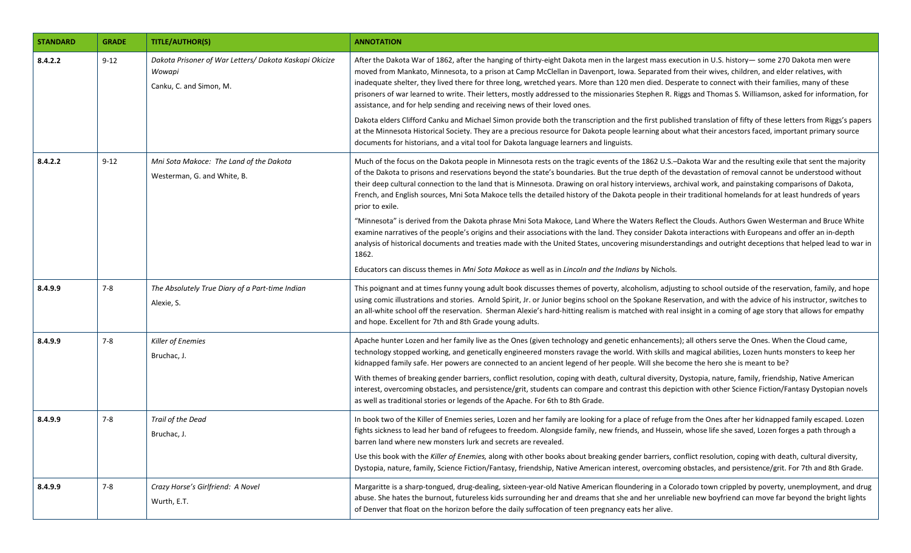| <b>STANDARD</b> | <b>GRADE</b> | <b>TITLE/AUTHOR(S)</b>                                                                      | <b>ANNOTATION</b>                                                                                                                                                                                                                                                                                                                                                                                                                                                                                                                                                                                                                                                                                                                                                                                                                                                                                                                                                                                                                                                                                                                                                                                                                                         |
|-----------------|--------------|---------------------------------------------------------------------------------------------|-----------------------------------------------------------------------------------------------------------------------------------------------------------------------------------------------------------------------------------------------------------------------------------------------------------------------------------------------------------------------------------------------------------------------------------------------------------------------------------------------------------------------------------------------------------------------------------------------------------------------------------------------------------------------------------------------------------------------------------------------------------------------------------------------------------------------------------------------------------------------------------------------------------------------------------------------------------------------------------------------------------------------------------------------------------------------------------------------------------------------------------------------------------------------------------------------------------------------------------------------------------|
| 8.4.2.2         | $9 - 12$     | Dakota Prisoner of War Letters/ Dakota Kaskapi Okicize<br>Wowapi<br>Canku, C. and Simon, M. | After the Dakota War of 1862, after the hanging of thirty-eight Dakota men in the largest mass execution in U.S. history- some 270 Dakota men were<br>moved from Mankato, Minnesota, to a prison at Camp McClellan in Davenport, Iowa. Separated from their wives, children, and elder relatives, with<br>inadequate shelter, they lived there for three long, wretched years. More than 120 men died. Desperate to connect with their families, many of these<br>prisoners of war learned to write. Their letters, mostly addressed to the missionaries Stephen R. Riggs and Thomas S. Williamson, asked for information, for<br>assistance, and for help sending and receiving news of their loved ones.<br>Dakota elders Clifford Canku and Michael Simon provide both the transcription and the first published translation of fifty of these letters from Riggs's papers<br>at the Minnesota Historical Society. They are a precious resource for Dakota people learning about what their ancestors faced, important primary source<br>documents for historians, and a vital tool for Dakota language learners and linguists.                                                                                                                        |
| 8.4.2.2         | $9 - 12$     | Mni Sota Makoce: The Land of the Dakota<br>Westerman, G. and White, B.                      | Much of the focus on the Dakota people in Minnesota rests on the tragic events of the 1862 U.S.-Dakota War and the resulting exile that sent the majority<br>of the Dakota to prisons and reservations beyond the state's boundaries. But the true depth of the devastation of removal cannot be understood without<br>their deep cultural connection to the land that is Minnesota. Drawing on oral history interviews, archival work, and painstaking comparisons of Dakota,<br>French, and English sources, Mni Sota Makoce tells the detailed history of the Dakota people in their traditional homelands for at least hundreds of years<br>prior to exile.<br>"Minnesota" is derived from the Dakota phrase Mni Sota Makoce, Land Where the Waters Reflect the Clouds. Authors Gwen Westerman and Bruce White<br>examine narratives of the people's origins and their associations with the land. They consider Dakota interactions with Europeans and offer an in-depth<br>analysis of historical documents and treaties made with the United States, uncovering misunderstandings and outright deceptions that helped lead to war in<br>1862.<br>Educators can discuss themes in Mni Sota Makoce as well as in Lincoln and the Indians by Nichols. |
| 8.4.9.9         | $7-8$        | The Absolutely True Diary of a Part-time Indian<br>Alexie, S.                               | This poignant and at times funny young adult book discusses themes of poverty, alcoholism, adjusting to school outside of the reservation, family, and hope<br>using comic illustrations and stories. Arnold Spirit, Jr. or Junior begins school on the Spokane Reservation, and with the advice of his instructor, switches to<br>an all-white school off the reservation. Sherman Alexie's hard-hitting realism is matched with real insight in a coming of age story that allows for empathy<br>and hope. Excellent for 7th and 8th Grade young adults.                                                                                                                                                                                                                                                                                                                                                                                                                                                                                                                                                                                                                                                                                                |
| 8.4.9.9         | $7-8$        | Killer of Enemies<br>Bruchac, J.                                                            | Apache hunter Lozen and her family live as the Ones (given technology and genetic enhancements); all others serve the Ones. When the Cloud came,<br>technology stopped working, and genetically engineered monsters ravage the world. With skills and magical abilities, Lozen hunts monsters to keep her<br>kidnapped family safe. Her powers are connected to an ancient legend of her people. Will she become the hero she is meant to be?<br>With themes of breaking gender barriers, conflict resolution, coping with death, cultural diversity, Dystopia, nature, family, friendship, Native American<br>interest, overcoming obstacles, and persistence/grit, students can compare and contrast this depiction with other Science Fiction/Fantasy Dystopian novels<br>as well as traditional stories or legends of the Apache. For 6th to 8th Grade.                                                                                                                                                                                                                                                                                                                                                                                               |
| 8.4.9.9         | $7 - 8$      | Trail of the Dead<br>Bruchac, J.                                                            | In book two of the Killer of Enemies series, Lozen and her family are looking for a place of refuge from the Ones after her kidnapped family escaped. Lozen<br>fights sickness to lead her band of refugees to freedom. Alongside family, new friends, and Hussein, whose life she saved, Lozen forges a path through a<br>barren land where new monsters lurk and secrets are revealed.<br>Use this book with the Killer of Enemies, along with other books about breaking gender barriers, conflict resolution, coping with death, cultural diversity,<br>Dystopia, nature, family, Science Fiction/Fantasy, friendship, Native American interest, overcoming obstacles, and persistence/grit. For 7th and 8th Grade.                                                                                                                                                                                                                                                                                                                                                                                                                                                                                                                                   |
| 8.4.9.9         | $7 - 8$      | Crazy Horse's Girlfriend: A Novel<br>Wurth, E.T.                                            | Margaritte is a sharp-tongued, drug-dealing, sixteen-year-old Native American floundering in a Colorado town crippled by poverty, unemployment, and drug<br>abuse. She hates the burnout, futureless kids surrounding her and dreams that she and her unreliable new boyfriend can move far beyond the bright lights<br>of Denver that float on the horizon before the daily suffocation of teen pregnancy eats her alive.                                                                                                                                                                                                                                                                                                                                                                                                                                                                                                                                                                                                                                                                                                                                                                                                                                |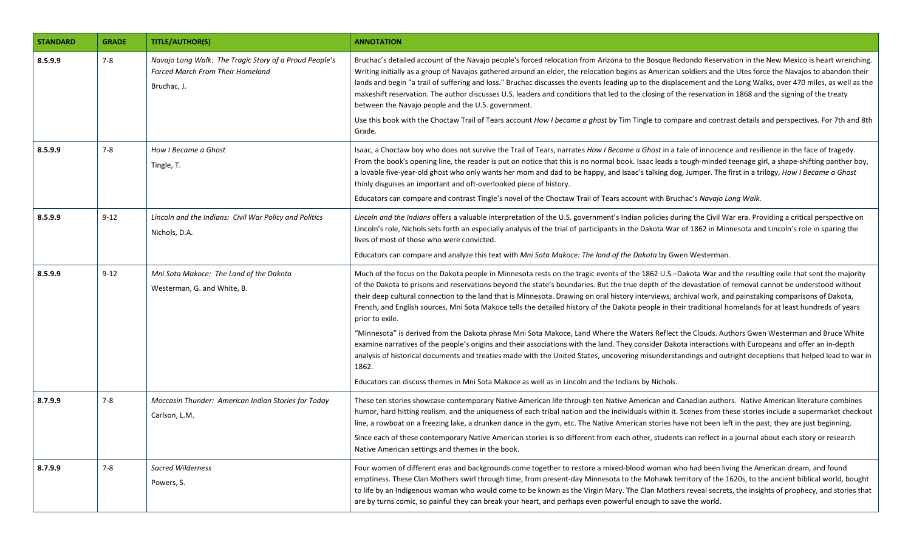| <b>STANDARD</b> | <b>GRADE</b> | <b>TITLE/AUTHOR(S)</b>                                                                                           | <b>ANNOTATION</b>                                                                                                                                                                                                                                                                                                                                                                                                                                                                                                                                                                                                                                                                                                                                                                                                                                                                     |
|-----------------|--------------|------------------------------------------------------------------------------------------------------------------|---------------------------------------------------------------------------------------------------------------------------------------------------------------------------------------------------------------------------------------------------------------------------------------------------------------------------------------------------------------------------------------------------------------------------------------------------------------------------------------------------------------------------------------------------------------------------------------------------------------------------------------------------------------------------------------------------------------------------------------------------------------------------------------------------------------------------------------------------------------------------------------|
| 8.5.9.9         | $7 - 8$      | Navajo Long Walk: The Tragic Story of a Proud People's<br><b>Forced March From Their Homeland</b><br>Bruchac, J. | Bruchac's detailed account of the Navajo people's forced relocation from Arizona to the Bosque Redondo Reservation in the New Mexico is heart wrenching.<br>Writing initially as a group of Navajos gathered around an elder, the relocation begins as American soldiers and the Utes force the Navajos to abandon their<br>lands and begin "a trail of suffering and loss." Bruchac discusses the events leading up to the displacement and the Long Walks, over 470 miles, as well as the<br>makeshift reservation. The author discusses U.S. leaders and conditions that led to the closing of the reservation in 1868 and the signing of the treaty<br>between the Navajo people and the U.S. government.<br>Use this book with the Choctaw Trail of Tears account How I became a ghost by Tim Tingle to compare and contrast details and perspectives. For 7th and 8th<br>Grade. |
| 8.5.9.9         | $7 - 8$      | How I Became a Ghost<br>Tingle, T.                                                                               | Isaac, a Choctaw boy who does not survive the Trail of Tears, narrates How I Became a Ghost in a tale of innocence and resilience in the face of tragedy.<br>From the book's opening line, the reader is put on notice that this is no normal book. Isaac leads a tough-minded teenage girl, a shape-shifting panther boy,<br>a lovable five-year-old ghost who only wants her mom and dad to be happy, and Isaac's talking dog, Jumper. The first in a trilogy, How I Became a Ghost<br>thinly disguises an important and oft-overlooked piece of history.<br>Educators can compare and contrast Tingle's novel of the Choctaw Trail of Tears account with Bruchac's Navajo Long Walk.                                                                                                                                                                                               |
| 8.5.9.9         | $9 - 12$     | Lincoln and the Indians: Civil War Policy and Politics<br>Nichols, D.A.                                          | Lincoln and the Indians offers a valuable interpretation of the U.S. government's Indian policies during the Civil War era. Providing a critical perspective on<br>Lincoln's role, Nichols sets forth an especially analysis of the trial of participants in the Dakota War of 1862 in Minnesota and Lincoln's role in sparing the<br>lives of most of those who were convicted.<br>Educators can compare and analyze this text with Mni Sota Makoce: The land of the Dakota by Gwen Westerman.                                                                                                                                                                                                                                                                                                                                                                                       |
| 8.5.9.9         | $9 - 12$     | Mni Sota Makoce: The Land of the Dakota<br>Westerman, G. and White, B.                                           | Much of the focus on the Dakota people in Minnesota rests on the tragic events of the 1862 U.S.-Dakota War and the resulting exile that sent the majority<br>of the Dakota to prisons and reservations beyond the state's boundaries. But the true depth of the devastation of removal cannot be understood without<br>their deep cultural connection to the land that is Minnesota. Drawing on oral history interviews, archival work, and painstaking comparisons of Dakota,<br>French, and English sources, Mni Sota Makoce tells the detailed history of the Dakota people in their traditional homelands for at least hundreds of years<br>prior to exile.                                                                                                                                                                                                                       |
|                 |              |                                                                                                                  | "Minnesota" is derived from the Dakota phrase Mni Sota Makoce, Land Where the Waters Reflect the Clouds. Authors Gwen Westerman and Bruce White<br>examine narratives of the people's origins and their associations with the land. They consider Dakota interactions with Europeans and offer an in-depth<br>analysis of historical documents and treaties made with the United States, uncovering misunderstandings and outright deceptions that helped lead to war in<br>1862.<br>Educators can discuss themes in Mni Sota Makoce as well as in Lincoln and the Indians by Nichols.                                                                                                                                                                                                                                                                                                |
| 8.7.9.9         | $7 - 8$      | Moccasin Thunder: American Indian Stories for Today<br>Carlson, L.M.                                             | These ten stories showcase contemporary Native American life through ten Native American and Canadian authors. Native American literature combines<br>humor, hard hitting realism, and the uniqueness of each tribal nation and the individuals within it. Scenes from these stories include a supermarket checkout<br>line, a rowboat on a freezing lake, a drunken dance in the gym, etc. The Native American stories have not been left in the past; they are just beginning.<br>Since each of these contemporary Native American stories is so different from each other, students can reflect in a journal about each story or research<br>Native American settings and themes in the book.                                                                                                                                                                                      |
| 8.7.9.9         | $7 - 8$      | Sacred Wilderness<br>Powers, S.                                                                                  | Four women of different eras and backgrounds come together to restore a mixed-blood woman who had been living the American dream, and found<br>emptiness. These Clan Mothers swirl through time, from present-day Minnesota to the Mohawk territory of the 1620s, to the ancient biblical world, bought<br>to life by an Indigenous woman who would come to be known as the Virgin Mary. The Clan Mothers reveal secrets, the insights of prophecy, and stories that<br>are by turns comic, so painful they can break your heart, and perhaps even powerful enough to save the world.                                                                                                                                                                                                                                                                                                 |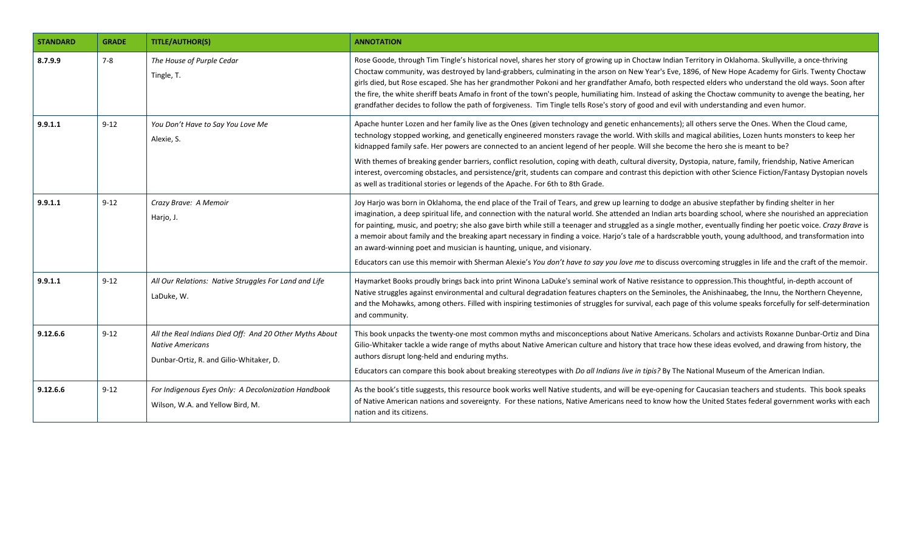| <b>STANDARD</b> | <b>GRADE</b> | <b>TITLE/AUTHOR(S)</b>                                                                                                        | <b>ANNOTATION</b>                                                                                                                                                                                                                                                                                                                                                                                                                                                                                                                                                                                                                                                                                                                                                                                                                                                                           |
|-----------------|--------------|-------------------------------------------------------------------------------------------------------------------------------|---------------------------------------------------------------------------------------------------------------------------------------------------------------------------------------------------------------------------------------------------------------------------------------------------------------------------------------------------------------------------------------------------------------------------------------------------------------------------------------------------------------------------------------------------------------------------------------------------------------------------------------------------------------------------------------------------------------------------------------------------------------------------------------------------------------------------------------------------------------------------------------------|
| 8.7.9.9         | $7 - 8$      | The House of Purple Cedar<br>Tingle, T.                                                                                       | Rose Goode, through Tim Tingle's historical novel, shares her story of growing up in Choctaw Indian Territory in Oklahoma. Skullyville, a once-thriving<br>Choctaw community, was destroyed by land-grabbers, culminating in the arson on New Year's Eve, 1896, of New Hope Academy for Girls. Twenty Choctaw<br>girls died, but Rose escaped. She has her grandmother Pokoni and her grandfather Amafo, both respected elders who understand the old ways. Soon after<br>the fire, the white sheriff beats Amafo in front of the town's people, humiliating him. Instead of asking the Choctaw community to avenge the beating, her<br>grandfather decides to follow the path of forgiveness. Tim Tingle tells Rose's story of good and evil with understanding and even humor.                                                                                                            |
| 9.9.1.1         | $9 - 12$     | You Don't Have to Say You Love Me<br>Alexie, S.                                                                               | Apache hunter Lozen and her family live as the Ones (given technology and genetic enhancements); all others serve the Ones. When the Cloud came,<br>technology stopped working, and genetically engineered monsters ravage the world. With skills and magical abilities, Lozen hunts monsters to keep her<br>kidnapped family safe. Her powers are connected to an ancient legend of her people. Will she become the hero she is meant to be?<br>With themes of breaking gender barriers, conflict resolution, coping with death, cultural diversity, Dystopia, nature, family, friendship, Native American<br>interest, overcoming obstacles, and persistence/grit, students can compare and contrast this depiction with other Science Fiction/Fantasy Dystopian novels<br>as well as traditional stories or legends of the Apache. For 6th to 8th Grade.                                 |
| 9.9.1.1         | $9 - 12$     | Crazy Brave: A Memoir<br>Harjo, J.                                                                                            | Joy Harjo was born in Oklahoma, the end place of the Trail of Tears, and grew up learning to dodge an abusive stepfather by finding shelter in her<br>imagination, a deep spiritual life, and connection with the natural world. She attended an Indian arts boarding school, where she nourished an appreciation<br>for painting, music, and poetry; she also gave birth while still a teenager and struggled as a single mother, eventually finding her poetic voice. Crazy Brave is<br>a memoir about family and the breaking apart necessary in finding a voice. Harjo's tale of a hardscrabble youth, young adulthood, and transformation into<br>an award-winning poet and musician is haunting, unique, and visionary.<br>Educators can use this memoir with Sherman Alexie's You don't have to say you love me to discuss overcoming struggles in life and the craft of the memoir. |
| 9.9.1.1         | $9 - 12$     | All Our Relations: Native Struggles For Land and Life<br>LaDuke, W.                                                           | Haymarket Books proudly brings back into print Winona LaDuke's seminal work of Native resistance to oppression. This thoughtful, in-depth account of<br>Native struggles against environmental and cultural degradation features chapters on the Seminoles, the Anishinaabeg, the Innu, the Northern Cheyenne,<br>and the Mohawks, among others. Filled with inspiring testimonies of struggles for survival, each page of this volume speaks forcefully for self-determination<br>and community.                                                                                                                                                                                                                                                                                                                                                                                           |
| 9.12.6.6        | $9 - 12$     | All the Real Indians Died Off: And 20 Other Myths About<br><b>Native Americans</b><br>Dunbar-Ortiz, R. and Gilio-Whitaker, D. | This book unpacks the twenty-one most common myths and misconceptions about Native Americans. Scholars and activists Roxanne Dunbar-Ortiz and Dina<br>Gilio-Whitaker tackle a wide range of myths about Native American culture and history that trace how these ideas evolved, and drawing from history, the<br>authors disrupt long-held and enduring myths.<br>Educators can compare this book about breaking stereotypes with Do all Indians live in tipis? By The National Museum of the American Indian.                                                                                                                                                                                                                                                                                                                                                                              |
| 9.12.6.6        | $9 - 12$     | For Indigenous Eyes Only: A Decolonization Handbook<br>Wilson, W.A. and Yellow Bird, M.                                       | As the book's title suggests, this resource book works well Native students, and will be eye-opening for Caucasian teachers and students. This book speaks<br>of Native American nations and sovereignty. For these nations, Native Americans need to know how the United States federal government works with each<br>nation and its citizens.                                                                                                                                                                                                                                                                                                                                                                                                                                                                                                                                             |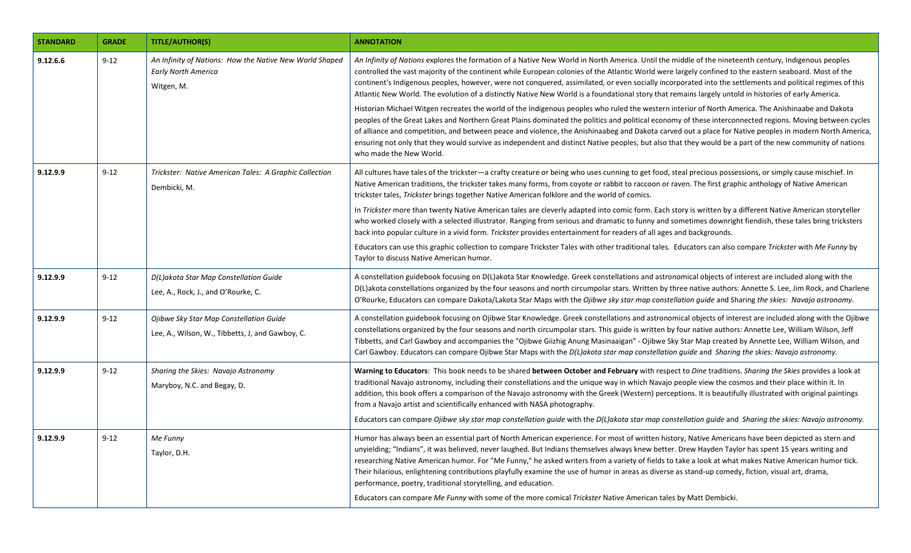| <b>STANDARD</b> | <b>GRADE</b> | <b>TITLE/AUTHOR(S)</b>                                                                              | <b>ANNOTATION</b>                                                                                                                                                                                                                                                                                                                                                                                                                                                                                                                                                                                                                                                                                                                                                                                            |
|-----------------|--------------|-----------------------------------------------------------------------------------------------------|--------------------------------------------------------------------------------------------------------------------------------------------------------------------------------------------------------------------------------------------------------------------------------------------------------------------------------------------------------------------------------------------------------------------------------------------------------------------------------------------------------------------------------------------------------------------------------------------------------------------------------------------------------------------------------------------------------------------------------------------------------------------------------------------------------------|
| 9.12.6.6        | $9 - 12$     | An Infinity of Nations: How the Native New World Shaped<br><b>Early North America</b><br>Witgen, M. | An Infinity of Nations explores the formation of a Native New World in North America. Until the middle of the nineteenth century, Indigenous peoples<br>controlled the vast majority of the continent while European colonies of the Atlantic World were largely confined to the eastern seaboard. Most of the<br>continent's Indigenous peoples, however, were not conquered, assimilated, or even socially incorporated into the settlements and political regimes of this<br>Atlantic New World. The evolution of a distinctly Native New World is a foundational story that remains largely untold in histories of early America.                                                                                                                                                                        |
|                 |              |                                                                                                     | Historian Michael Witgen recreates the world of the Indigenous peoples who ruled the western interior of North America. The Anishinaabe and Dakota<br>peoples of the Great Lakes and Northern Great Plains dominated the politics and political economy of these interconnected regions. Moving between cycles<br>of alliance and competition, and between peace and violence, the Anishinaabeg and Dakota carved out a place for Native peoples in modern North America,<br>ensuring not only that they would survive as independent and distinct Native peoples, but also that they would be a part of the new community of nations<br>who made the New World.                                                                                                                                             |
| 9.12.9.9        | $9 - 12$     | Trickster: Native American Tales: A Graphic Collection<br>Dembicki, M.                              | All cultures have tales of the trickster—a crafty creature or being who uses cunning to get food, steal precious possessions, or simply cause mischief. In<br>Native American traditions, the trickster takes many forms, from coyote or rabbit to raccoon or raven. The first graphic anthology of Native American<br>trickster tales, Trickster brings together Native American folklore and the world of comics.                                                                                                                                                                                                                                                                                                                                                                                          |
|                 |              |                                                                                                     | In Trickster more than twenty Native American tales are cleverly adapted into comic form. Each story is written by a different Native American storyteller<br>who worked closely with a selected illustrator. Ranging from serious and dramatic to funny and sometimes downright fiendish, these tales bring tricksters<br>back into popular culture in a vivid form. Trickster provides entertainment for readers of all ages and backgrounds.                                                                                                                                                                                                                                                                                                                                                              |
|                 |              |                                                                                                     | Educators can use this graphic collection to compare Trickster Tales with other traditional tales. Educators can also compare Trickster with Me Funny by<br>Taylor to discuss Native American humor.                                                                                                                                                                                                                                                                                                                                                                                                                                                                                                                                                                                                         |
| 9.12.9.9        | $9 - 12$     | D(L)akota Star Map Constellation Guide<br>Lee, A., Rock, J., and O'Rourke, C.                       | A constellation guidebook focusing on D(L)akota Star Knowledge. Greek constellations and astronomical objects of interest are included along with the<br>D(L)akota constellations organized by the four seasons and north circumpolar stars. Written by three native authors: Annette S. Lee, Jim Rock, and Charlene<br>O'Rourke, Educators can compare Dakota/Lakota Star Maps with the Ojibwe sky star map constellation guide and Sharing the skies: Navajo astronomy.                                                                                                                                                                                                                                                                                                                                    |
| 9.12.9.9        | $9 - 12$     | Ojibwe Sky Star Map Constellation Guide<br>Lee, A., Wilson, W., Tibbetts, J, and Gawboy, C.         | A constellation guidebook focusing on Ojibwe Star Knowledge. Greek constellations and astronomical objects of interest are included along with the Ojibwe<br>constellations organized by the four seasons and north circumpolar stars. This guide is written by four native authors: Annette Lee, William Wilson, Jeff<br>Tibbetts, and Carl Gawboy and accompanies the "Ojibwe Giizhig Anung Masinaaigan" - Ojibwe Sky Star Map created by Annette Lee, William Wilson, and<br>Carl Gawboy. Educators can compare Ojibwe Star Maps with the D(L)akota star map constellation quide and Sharing the skies: Navajo astronomy.                                                                                                                                                                                 |
| 9.12.9.9        | $9 - 12$     | Sharing the Skies: Navajo Astronomy<br>Maryboy, N.C. and Begay, D.                                  | Warning to Educators: This book needs to be shared between October and February with respect to Dine traditions. Sharing the Skies provides a look at<br>traditional Navajo astronomy, including their constellations and the unique way in which Navajo people view the cosmos and their place within it. In<br>addition, this book offers a comparison of the Navajo astronomy with the Greek (Western) perceptions. It is beautifully illustrated with original paintings<br>from a Navajo artist and scientifically enhanced with NASA photography.<br>Educators can compare Ojibwe sky star map constellation quide with the D(L)akota star map constellation quide and Sharing the skies: Navajo astronomy.                                                                                            |
| 9.12.9.9        | $9 - 12$     | Me Funny<br>Taylor, D.H.                                                                            | Humor has always been an essential part of North American experience. For most of written history, Native Americans have been depicted as stern and<br>unyielding; "Indians", it was believed, never laughed. But Indians themselves always knew better. Drew Hayden Taylor has spent 15 years writing and<br>researching Native American humor. For "Me Funny," he asked writers from a variety of fields to take a look at what makes Native American humor tick.<br>Their hilarious, enlightening contributions playfully examine the use of humor in areas as diverse as stand-up comedy, fiction, visual art, drama,<br>performance, poetry, traditional storytelling, and education.<br>Educators can compare Me Funny with some of the more comical Trickster Native American tales by Matt Dembicki. |